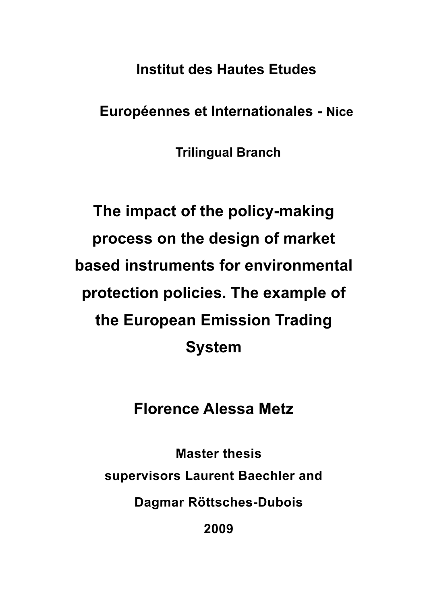**Institut des Hautes Etudes** 

**Européennes et Internationales - Nice**

**Trilingual Branch**

# **The impact of the policy-making process on the design of market based instruments for environmental protection policies. The example of the European Emission Trading System**

## **Florence Alessa Metz**

**Master thesis supervisors Laurent Baechler and Dagmar Röttsches-Dubois**

**2009**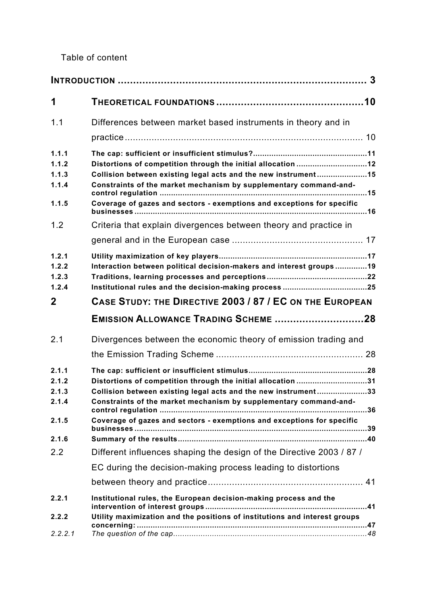Table of content

| 1                                                |                                                                                                                                                                                                                                                                                                                                                   |
|--------------------------------------------------|---------------------------------------------------------------------------------------------------------------------------------------------------------------------------------------------------------------------------------------------------------------------------------------------------------------------------------------------------|
| 1.1                                              | Differences between market based instruments in theory and in                                                                                                                                                                                                                                                                                     |
| 1.1.1<br>1.1.2<br>1.1.3<br>1.1.4<br>1.1.5<br>1.2 | Distortions of competition through the initial allocation 12<br>Collision between existing legal acts and the new instrument15<br>Constraints of the market mechanism by supplementary command-and-<br>Coverage of gazes and sectors - exemptions and exceptions for specific<br>Criteria that explain divergences between theory and practice in |
| 1.2.1<br>1.2.2<br>1.2.3<br>1.2.4<br>$\mathbf{2}$ | Interaction between political decision-makers and interest groups19<br>CASE STUDY: THE DIRECTIVE 2003 / 87 / EC ON THE EUROPEAN                                                                                                                                                                                                                   |
|                                                  | EMISSION ALLOWANCE TRADING SCHEME 28                                                                                                                                                                                                                                                                                                              |
| 2.1                                              | Divergences between the economic theory of emission trading and                                                                                                                                                                                                                                                                                   |
| 2.1.1<br>2.1.2<br>2.1.3<br>2.1.4<br>2.1.5        | Distortions of competition through the initial allocation 31<br>Collision between existing legal acts and the new instrument33<br>Constraints of the market mechanism by supplementary command-and-<br>.36<br>Coverage of gazes and sectors - exemptions and exceptions for specific                                                              |
| 2.1.6                                            |                                                                                                                                                                                                                                                                                                                                                   |
| 2.2                                              | Different influences shaping the design of the Directive 2003 / 87 /<br>EC during the decision-making process leading to distortions                                                                                                                                                                                                              |
| 2.2.1<br>2.2.2<br>2.2.2.1                        | Institutional rules, the European decision-making process and the<br>Utility maximization and the positions of institutions and interest groups                                                                                                                                                                                                   |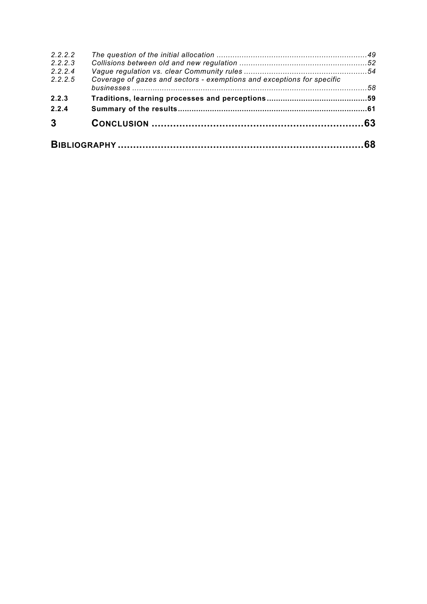| 2.2.2.2        |                                                                        |  |
|----------------|------------------------------------------------------------------------|--|
| 2, 2, 2, 3     |                                                                        |  |
| 2.2.2.4        |                                                                        |  |
| 2.2.2.5        | Coverage of gazes and sectors - exemptions and exceptions for specific |  |
| 2.2.3          |                                                                        |  |
| 2.2.4          |                                                                        |  |
| $\overline{3}$ |                                                                        |  |
|                |                                                                        |  |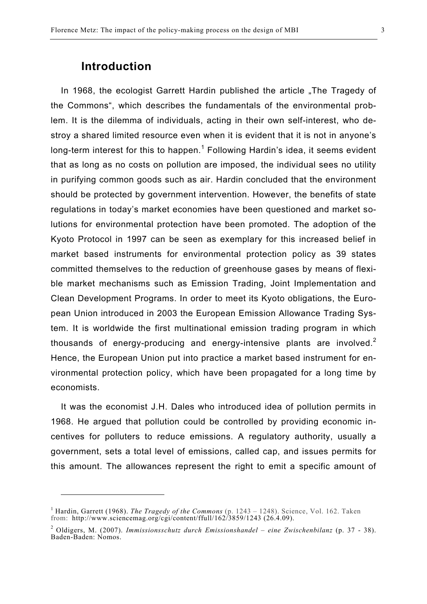### **Introduction**

l

In 1968, the ecologist Garrett Hardin published the article .The Tragedy of the Commons", which describes the fundamentals of the environmental problem. It is the dilemma of individuals, acting in their own self-interest, who destroy a shared limited resource even when it is evident that it is not in anyone's long-term interest for this to happen.<sup>1</sup> Following Hardin's idea, it seems evident that as long as no costs on pollution are imposed, the individual sees no utility in purifying common goods such as air. Hardin concluded that the environment should be protected by government intervention. However, the benefits of state regulations in today's market economies have been questioned and market solutions for environmental protection have been promoted. The adoption of the Kyoto Protocol in 1997 can be seen as exemplary for this increased belief in market based instruments for environmental protection policy as 39 states committed themselves to the reduction of greenhouse gases by means of flexible market mechanisms such as Emission Trading, Joint Implementation and Clean Development Programs. In order to meet its Kyoto obligations, the European Union introduced in 2003 the European Emission Allowance Trading System. It is worldwide the first multinational emission trading program in which thousands of energy-producing and energy-intensive plants are involved.<sup>2</sup> Hence, the European Union put into practice a market based instrument for environmental protection policy, which have been propagated for a long time by economists.

It was the economist J.H. Dales who introduced idea of pollution permits in 1968. He argued that pollution could be controlled by providing economic incentives for polluters to reduce emissions. A regulatory authority, usually a government, sets a total level of emissions, called cap, and issues permits for this amount. The allowances represent the right to emit a specific amount of

<sup>&</sup>lt;sup>1</sup> Hardin, Garrett (1968). *The Tragedy of the Commons* (p. 1243 – 1248). Science, Vol. 162. Taken from: http://www.sciencemag.org/cgi/content/ffull/162/3859/1243 (26.4.09).

<sup>2</sup> Oldigers, M. (2007). *Immissionsschutz durch Emissionshandel – eine Zwischenbilanz* (p. 37 - 38). Baden-Baden: Nomos.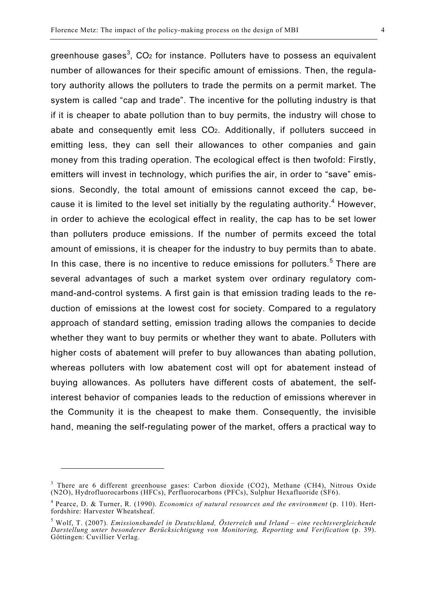greenhouse gases<sup>3</sup>, CO<sub>2</sub> for instance. Polluters have to possess an equivalent number of allowances for their specific amount of emissions. Then, the regulatory authority allows the polluters to trade the permits on a permit market. The system is called "cap and trade". The incentive for the polluting industry is that if it is cheaper to abate pollution than to buy permits, the industry will chose to abate and consequently emit less CO2. Additionally, if polluters succeed in emitting less, they can sell their allowances to other companies and gain money from this trading operation. The ecological effect is then twofold: Firstly, emitters will invest in technology, which purifies the air, in order to "save" emissions. Secondly, the total amount of emissions cannot exceed the cap, because it is limited to the level set initially by the regulating authority. $4$  However, in order to achieve the ecological effect in reality, the cap has to be set lower than polluters produce emissions. If the number of permits exceed the total amount of emissions, it is cheaper for the industry to buy permits than to abate. In this case, there is no incentive to reduce emissions for polluters.<sup>5</sup> There are several advantages of such a market system over ordinary regulatory command-and-control systems. A first gain is that emission trading leads to the reduction of emissions at the lowest cost for society. Compared to a regulatory approach of standard setting, emission trading allows the companies to decide whether they want to buy permits or whether they want to abate. Polluters with higher costs of abatement will prefer to buy allowances than abating pollution, whereas polluters with low abatement cost will opt for abatement instead of buying allowances. As polluters have different costs of abatement, the selfinterest behavior of companies leads to the reduction of emissions wherever in the Community it is the cheapest to make them. Consequently, the invisible hand, meaning the self-regulating power of the market, offers a practical way to

<sup>&</sup>lt;sup>3</sup> There are 6 different greenhouse gases: Carbon dioxide (CO2), Methane (CH4), Nitrous Oxide (N2O), Hydrofluorocarbons (HFCs), Perfluorocarbons (PFCs), Sulphur Hexafluoride (SF6).

<sup>4</sup> Pearce, D. & Turner, R. (1990). *Economics of natural resources and the environment* (p. 110). Hertfordshire: Harvester Wheatsheaf.

<sup>5</sup> Wolf, T. (2007). *Emissionshandel in Deutschland, Österreich und Irland – eine rechtsvergleichende Darstellung unter besonderer Berücksichtigung von Monitoring, Reporting und Verification* (p. 39). Göttingen: Cuvillier Verlag.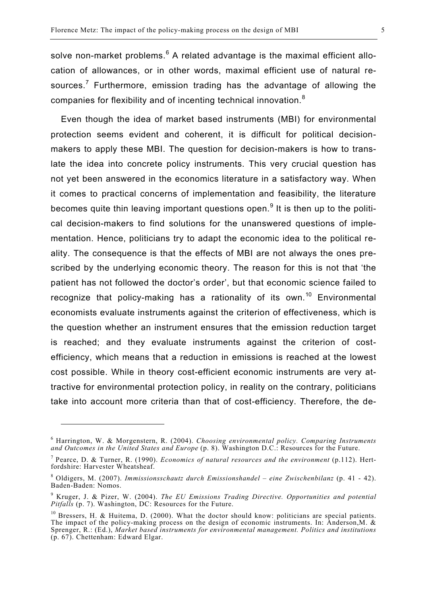solve non-market problems. $6$  A related advantage is the maximal efficient allocation of allowances, or in other words, maximal efficient use of natural resources.<sup>7</sup> Furthermore, emission trading has the advantage of allowing the companies for flexibility and of incenting technical innovation.<sup>8</sup>

Even though the idea of market based instruments (MBI) for environmental protection seems evident and coherent, it is difficult for political decisionmakers to apply these MBI. The question for decision-makers is how to translate the idea into concrete policy instruments. This very crucial question has not yet been answered in the economics literature in a satisfactory way. When it comes to practical concerns of implementation and feasibility, the literature becomes quite thin leaving important questions open.<sup>9</sup> It is then up to the political decision-makers to find solutions for the unanswered questions of implementation. Hence, politicians try to adapt the economic idea to the political reality. The consequence is that the effects of MBI are not always the ones prescribed by the underlying economic theory. The reason for this is not that 'the patient has not followed the doctor's order', but that economic science failed to recognize that policy-making has a rationality of its own.<sup>10</sup> Environmental economists evaluate instruments against the criterion of effectiveness, which is the question whether an instrument ensures that the emission reduction target is reached; and they evaluate instruments against the criterion of costefficiency, which means that a reduction in emissions is reached at the lowest cost possible. While in theory cost-efficient economic instruments are very attractive for environmental protection policy, in reality on the contrary, politicians take into account more criteria than that of cost-efficiency. Therefore, the de-

 $\overline{a}$ 

<sup>6</sup> Harrington, W. & Morgenstern, R. (2004). *Choosing environmental policy. Comparing Instruments and Outcomes in the United States and Europe* (p. 8). Washington D.C.: Resources for the Future.

<sup>7</sup> Pearce, D. & Turner, R. (1990). *Economics of natural resources and the environment* (p.112). Hertfordshire: Harvester Wheatsheaf.

<sup>8</sup> Oldigers, M. (2007). *Immissionsschautz durch Emissionshandel – eine Zwischenbilanz* (p. 41 - 42). Baden-Baden: Nomos.

<sup>9</sup> Kruger, J. & Pizer, W. (2004). *The EU Emissions Trading Directive. Opportunities and potential Pitfalls* (p. 7). Washington, DC: Resources for the Future.

 $10$  Bressers, H. & Huitema, D. (2000). What the doctor should know: politicians are special patients. The impact of the policy-making process on the design of economic instruments. In: Anderson,M. & Sprenger, R.: (Ed.), *Market based instruments for environmental management. Politics and institutions* (p. 67). Chettenham: Edward Elgar.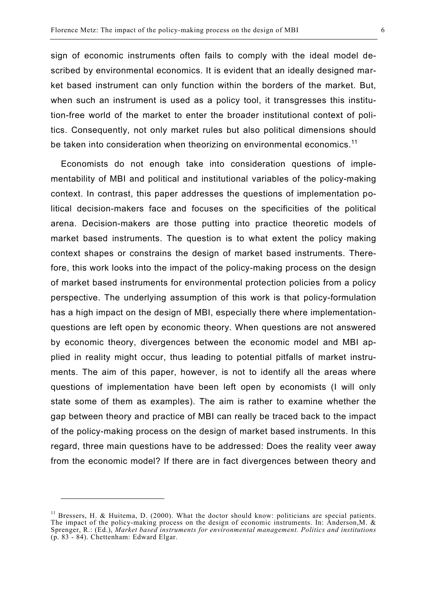tion-free world of the market to enter the broader institutional context of politics. Consequently, not only market rules but also political dimensions should be taken into consideration when theorizing on environmental economics.<sup>11</sup>

Economists do not enough take into consideration questions of implementability of MBI and political and institutional variables of the policy-making context. In contrast, this paper addresses the questions of implementation political decision-makers face and focuses on the specificities of the political arena. Decision-makers are those putting into practice theoretic models of market based instruments. The question is to what extent the policy making context shapes or constrains the design of market based instruments. Therefore, this work looks into the impact of the policy-making process on the design of market based instruments for environmental protection policies from a policy perspective. The underlying assumption of this work is that policy-formulation has a high impact on the design of MBI, especially there where implementationquestions are left open by economic theory. When questions are not answered by economic theory, divergences between the economic model and MBI applied in reality might occur, thus leading to potential pitfalls of market instruments. The aim of this paper, however, is not to identify all the areas where questions of implementation have been left open by economists (I will only state some of them as examples). The aim is rather to examine whether the gap between theory and practice of MBI can really be traced back to the impact of the policy-making process on the design of market based instruments. In this regard, three main questions have to be addressed: Does the reality veer away from the economic model? If there are in fact divergences between theory and

 $11$  Bressers, H. & Huitema, D. (2000). What the doctor should know: politicians are special patients. The impact of the policy-making process on the design of economic instruments. In: Anderson,M. & Sprenger, R.: (Ed.), *Market based instruments for environmental management. Politics and institutions* (p. 83 - 84). Chettenham: Edward Elgar.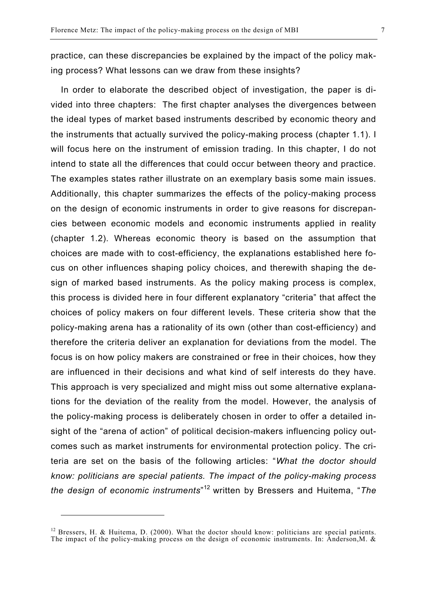practice, can these discrepancies be explained by the impact of the policy making process? What lessons can we draw from these insights?

In order to elaborate the described object of investigation, the paper is divided into three chapters: The first chapter analyses the divergences between the ideal types of market based instruments described by economic theory and the instruments that actually survived the policy-making process (chapter 1.1). I will focus here on the instrument of emission trading. In this chapter, I do not intend to state all the differences that could occur between theory and practice. The examples states rather illustrate on an exemplary basis some main issues. Additionally, this chapter summarizes the effects of the policy-making process on the design of economic instruments in order to give reasons for discrepancies between economic models and economic instruments applied in reality (chapter 1.2). Whereas economic theory is based on the assumption that choices are made with to cost-efficiency, the explanations established here focus on other influences shaping policy choices, and therewith shaping the design of marked based instruments. As the policy making process is complex, this process is divided here in four different explanatory "criteria" that affect the choices of policy makers on four different levels. These criteria show that the policy-making arena has a rationality of its own (other than cost-efficiency) and therefore the criteria deliver an explanation for deviations from the model. The focus is on how policy makers are constrained or free in their choices, how they are influenced in their decisions and what kind of self interests do they have. This approach is very specialized and might miss out some alternative explanations for the deviation of the reality from the model. However, the analysis of the policy-making process is deliberately chosen in order to offer a detailed insight of the "arena of action" of political decision-makers influencing policy outcomes such as market instruments for environmental protection policy. The criteria are set on the basis of the following articles: "*What the doctor should know: politicians are special patients. The impact of the policy-making process the design of economic instruments*" <sup>12</sup> written by Bressers and Huitema, "*The* 

 $12$  Bressers, H. & Huitema, D. (2000). What the doctor should know: politicians are special patients. The impact of the policy-making process on the design of economic instruments. In: Anderson,M. &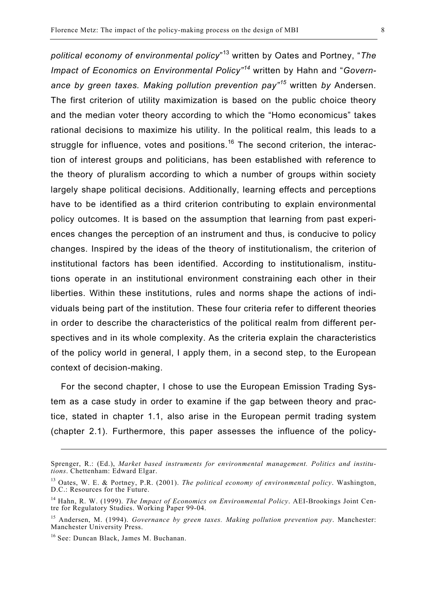*political economy of environmental policy*" 13 written by Oates and Portney, "*The Impact of Economics on Environmental Policy"<sup>14</sup>* written by Hahn and "*Governance by green taxes. Making pollution prevention pay"<sup>15</sup>* written *by* Andersen. The first criterion of utility maximization is based on the public choice theory and the median voter theory according to which the "Homo economicus" takes rational decisions to maximize his utility. In the political realm, this leads to a struggle for influence, votes and positions.<sup>16</sup> The second criterion, the interaction of interest groups and politicians, has been established with reference to the theory of pluralism according to which a number of groups within society largely shape political decisions. Additionally, learning effects and perceptions have to be identified as a third criterion contributing to explain environmental policy outcomes. It is based on the assumption that learning from past experiences changes the perception of an instrument and thus, is conducive to policy changes. Inspired by the ideas of the theory of institutionalism, the criterion of institutional factors has been identified. According to institutionalism, institutions operate in an institutional environment constraining each other in their liberties. Within these institutions, rules and norms shape the actions of individuals being part of the institution. These four criteria refer to different theories in order to describe the characteristics of the political realm from different perspectives and in its whole complexity. As the criteria explain the characteristics of the policy world in general, I apply them, in a second step, to the European context of decision-making.

For the second chapter, I chose to use the European Emission Trading System as a case study in order to examine if the gap between theory and practice, stated in chapter 1.1, also arise in the European permit trading system (chapter 2.1). Furthermore, this paper assesses the influence of the policy-

<u>.</u>

Sprenger, R.: (Ed.), *Market based instruments for environmental management. Politics and institutions*. Chettenham: Edward Elgar.

<sup>13</sup> Oates, W. E. & Portney, P.R. (2001). *The political economy of environmental policy*. Washington, D.C.: Resources for the Future.

<sup>14</sup> Hahn, R. W. (1999). *The Impact of Economics on Environmental Policy*. AEI-Brookings Joint Centre for Regulatory Studies. Working Paper 99-04.

<sup>15</sup> Andersen, M. (1994). *Governance by green taxes. Making pollution prevention pay*. Manchester: Manchester University Press.

<sup>16</sup> See: Duncan Black, James M. Buchanan.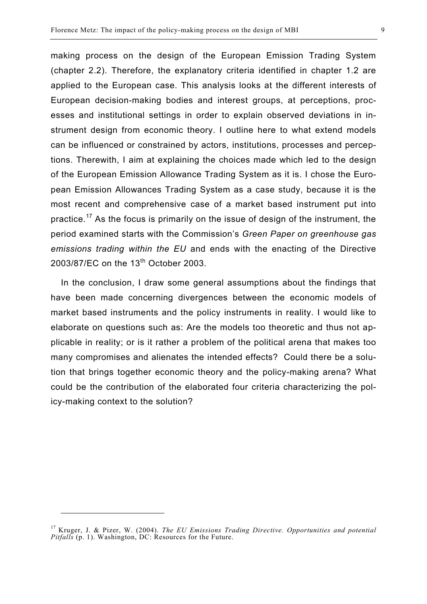making process on the design of the European Emission Trading System (chapter 2.2). Therefore, the explanatory criteria identified in chapter 1.2 are applied to the European case. This analysis looks at the different interests of European decision-making bodies and interest groups, at perceptions, processes and institutional settings in order to explain observed deviations in instrument design from economic theory. I outline here to what extend models can be influenced or constrained by actors, institutions, processes and perceptions. Therewith, I aim at explaining the choices made which led to the design of the European Emission Allowance Trading System as it is. I chose the European Emission Allowances Trading System as a case study, because it is the most recent and comprehensive case of a market based instrument put into practice.17 As the focus is primarily on the issue of design of the instrument, the period examined starts with the Commission's *Green Paper on greenhouse gas emissions trading within the EU* and ends with the enacting of the Directive 2003/87/EC on the 13<sup>th</sup> October 2003.

In the conclusion, I draw some general assumptions about the findings that have been made concerning divergences between the economic models of market based instruments and the policy instruments in reality. I would like to elaborate on questions such as: Are the models too theoretic and thus not applicable in reality; or is it rather a problem of the political arena that makes too many compromises and alienates the intended effects? Could there be a solution that brings together economic theory and the policy-making arena? What could be the contribution of the elaborated four criteria characterizing the policy-making context to the solution?

<sup>17</sup> Kruger, J. & Pizer, W. (2004). *The EU Emissions Trading Directive. Opportunities and potential Pitfalls* (p. 1). Washington, DC: Resources for the Future.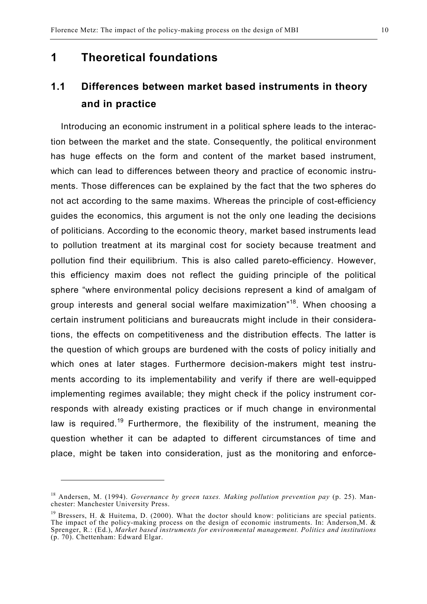### **1 Theoretical foundations**

## **1.1 Differences between market based instruments in theory and in practice**

Introducing an economic instrument in a political sphere leads to the interaction between the market and the state. Consequently, the political environment has huge effects on the form and content of the market based instrument, which can lead to differences between theory and practice of economic instruments. Those differences can be explained by the fact that the two spheres do not act according to the same maxims. Whereas the principle of cost-efficiency guides the economics, this argument is not the only one leading the decisions of politicians. According to the economic theory, market based instruments lead to pollution treatment at its marginal cost for society because treatment and pollution find their equilibrium. This is also called pareto-efficiency. However, this efficiency maxim does not reflect the guiding principle of the political sphere "where environmental policy decisions represent a kind of amalgam of group interests and general social welfare maximization<sup>"18</sup>. When choosing a certain instrument politicians and bureaucrats might include in their considerations, the effects on competitiveness and the distribution effects. The latter is the question of which groups are burdened with the costs of policy initially and which ones at later stages. Furthermore decision-makers might test instruments according to its implementability and verify if there are well-equipped implementing regimes available; they might check if the policy instrument corresponds with already existing practices or if much change in environmental law is required.<sup>19</sup> Furthermore, the flexibility of the instrument, meaning the question whether it can be adapted to different circumstances of time and place, might be taken into consideration, just as the monitoring and enforce-

<sup>18</sup> Andersen, M. (1994). *Governance by green taxes. Making pollution prevention pay* (p. 25). Manchester: Manchester University Press.

 $19$  Bressers, H. & Huitema, D. (2000). What the doctor should know: politicians are special patients. The impact of the policy-making process on the design of economic instruments. In: Anderson,M. & Sprenger, R.: (Ed.), *Market based instruments for environmental management. Politics and institutions* (p. 70). Chettenham: Edward Elgar.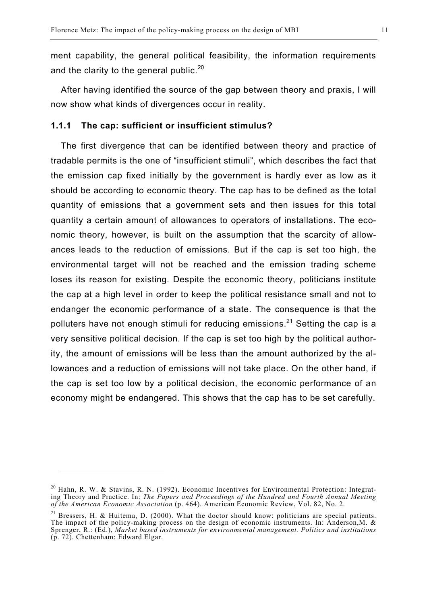ment capability, the general political feasibility, the information requirements and the clarity to the general public.<sup>20</sup>

After having identified the source of the gap between theory and praxis, I will now show what kinds of divergences occur in reality.

#### **1.1.1 The cap: sufficient or insufficient stimulus?**

The first divergence that can be identified between theory and practice of tradable permits is the one of "insufficient stimuli", which describes the fact that the emission cap fixed initially by the government is hardly ever as low as it should be according to economic theory. The cap has to be defined as the total quantity of emissions that a government sets and then issues for this total quantity a certain amount of allowances to operators of installations. The economic theory, however, is built on the assumption that the scarcity of allowances leads to the reduction of emissions. But if the cap is set too high, the environmental target will not be reached and the emission trading scheme loses its reason for existing. Despite the economic theory, politicians institute the cap at a high level in order to keep the political resistance small and not to endanger the economic performance of a state. The consequence is that the polluters have not enough stimuli for reducing emissions.<sup>21</sup> Setting the cap is a very sensitive political decision. If the cap is set too high by the political authority, the amount of emissions will be less than the amount authorized by the allowances and a reduction of emissions will not take place. On the other hand, if the cap is set too low by a political decision, the economic performance of an economy might be endangered. This shows that the cap has to be set carefully.

 $20$  Hahn, R. W. & Stavins, R. N. (1992). Economic Incentives for Environmental Protection: Integrating Theory and Practice. In: *The Papers and Proceedings of the Hundred and Fourth Annual Meeting of the American Economic Association* (p. 464). American Economic Review, Vol. 82, No. 2.

<sup>&</sup>lt;sup>21</sup> Bressers, H. & Huitema, D. (2000). What the doctor should know: politicians are special patients. The impact of the policy-making process on the design of economic instruments. In: Anderson,M. & Sprenger, R.: (Ed.), *Market based instruments for environmental management. Politics and institutions* (p. 72). Chettenham: Edward Elgar.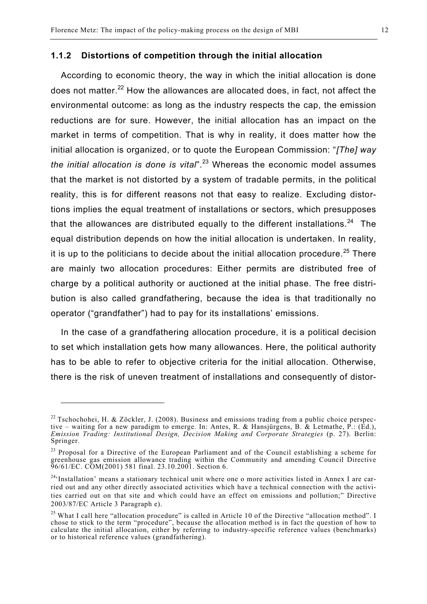#### **1.1.2 Distortions of competition through the initial allocation**

According to economic theory, the way in which the initial allocation is done does not matter.<sup>22</sup> How the allowances are allocated does, in fact, not affect the environmental outcome: as long as the industry respects the cap, the emission reductions are for sure. However, the initial allocation has an impact on the market in terms of competition. That is why in reality, it does matter how the initial allocation is organized, or to quote the European Commission: "*[The] way the initial allocation is done is vital*".<sup>23</sup> Whereas the economic model assumes that the market is not distorted by a system of tradable permits, in the political reality, this is for different reasons not that easy to realize. Excluding distortions implies the equal treatment of installations or sectors, which presupposes that the allowances are distributed equally to the different installations. $24$  The equal distribution depends on how the initial allocation is undertaken. In reality, it is up to the politicians to decide about the initial allocation procedure.<sup>25</sup> There are mainly two allocation procedures: Either permits are distributed free of charge by a political authority or auctioned at the initial phase. The free distribution is also called grandfathering, because the idea is that traditionally no operator ("grandfather") had to pay for its installations' emissions.

In the case of a grandfathering allocation procedure, it is a political decision to set which installation gets how many allowances. Here, the political authority has to be able to refer to objective criteria for the initial allocation. Otherwise, there is the risk of uneven treatment of installations and consequently of distor-

 $\overline{a}$ 

<sup>&</sup>lt;sup>22</sup> Tschochohei, H. & Zöckler, J. (2008). Business and emissions trading from a public choice perspective – waiting for a new paradigm to emerge. In: Antes, R. & Hansjürgens, B. & Letmathe, P.: (Ed.), *Emission Trading: Institutional Design, Decision Making and Corporate Strategies* (p. 27). Berlin: Springer.

 $^{23}$  Proposal for a Directive of the European Parliament and of the Council establishing a scheme for greenhouse gas emission allowance trading within the Community and amending Council Directive 96/61/EC. COM(2001) 581 final. 23.10.2001. Section 6.

<sup>&</sup>lt;sup>24</sup>'Installation' means a stationary technical unit where one o more activities listed in Annex I are carried out and any other directly associated activities which have a technical connection with the activities carried out on that site and which could have an effect on emissions and pollution;" Directive 2003/87/EC Article 3 Paragraph e).

 $^{25}$  What I call here "allocation procedure" is called in Article 10 of the Directive "allocation method". I chose to stick to the term "procedure", because the allocation method is in fact the question of how to calculate the initial allocation, either by referring to industry-specific reference values (benchmarks) or to historical reference values (grandfathering).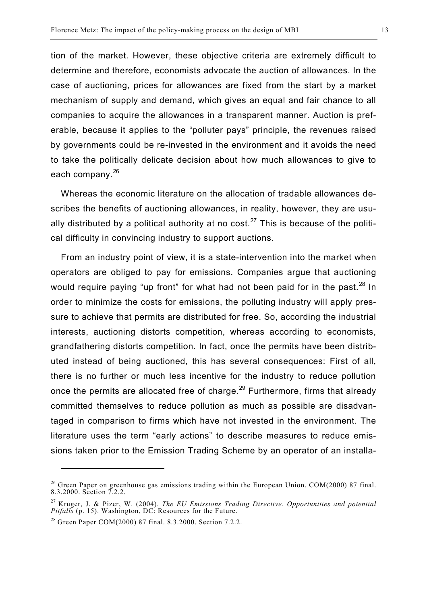tion of the market. However, these objective criteria are extremely difficult to determine and therefore, economists advocate the auction of allowances. In the case of auctioning, prices for allowances are fixed from the start by a market mechanism of supply and demand, which gives an equal and fair chance to all companies to acquire the allowances in a transparent manner. Auction is preferable, because it applies to the "polluter pays" principle, the revenues raised by governments could be re-invested in the environment and it avoids the need to take the politically delicate decision about how much allowances to give to each company.<sup>26</sup>

Whereas the economic literature on the allocation of tradable allowances describes the benefits of auctioning allowances, in reality, however, they are usually distributed by a political authority at no cost.<sup>27</sup> This is because of the political difficulty in convincing industry to support auctions.

From an industry point of view, it is a state-intervention into the market when operators are obliged to pay for emissions. Companies argue that auctioning would require paying "up front" for what had not been paid for in the past.  $28 \text{ In}$ order to minimize the costs for emissions, the polluting industry will apply pressure to achieve that permits are distributed for free. So, according the industrial interests, auctioning distorts competition, whereas according to economists, grandfathering distorts competition. In fact, once the permits have been distributed instead of being auctioned, this has several consequences: First of all, there is no further or much less incentive for the industry to reduce pollution once the permits are allocated free of charge.<sup>29</sup> Furthermore, firms that already committed themselves to reduce pollution as much as possible are disadvantaged in comparison to firms which have not invested in the environment. The literature uses the term "early actions" to describe measures to reduce emissions taken prior to the Emission Trading Scheme by an operator of an installa-

 $\overline{a}$ 

<sup>&</sup>lt;sup>26</sup> Green Paper on greenhouse gas emissions trading within the European Union. COM(2000) 87 final. 8.3.2000. Section 7.2.2.

<sup>27</sup> Kruger, J. & Pizer, W. (2004). *The EU Emissions Trading Directive. Opportunities and potential Pitfalls* (p. 15). Washington, DC: Resources for the Future.

<sup>28</sup> Green Paper COM(2000) 87 final. 8.3.2000. Section 7.2.2.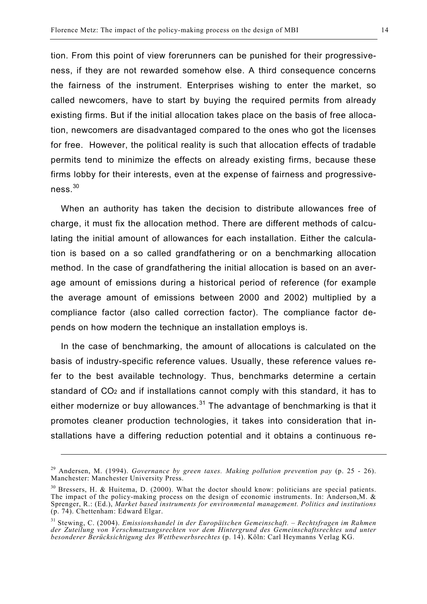tion. From this point of view forerunners can be punished for their progressiveness, if they are not rewarded somehow else. A third consequence concerns the fairness of the instrument. Enterprises wishing to enter the market, so called newcomers, have to start by buying the required permits from already existing firms. But if the initial allocation takes place on the basis of free allocation, newcomers are disadvantaged compared to the ones who got the licenses for free. However, the political reality is such that allocation effects of tradable permits tend to minimize the effects on already existing firms, because these firms lobby for their interests, even at the expense of fairness and progressiveness.<sup>30</sup>

When an authority has taken the decision to distribute allowances free of charge, it must fix the allocation method. There are different methods of calculating the initial amount of allowances for each installation. Either the calculation is based on a so called grandfathering or on a benchmarking allocation method. In the case of grandfathering the initial allocation is based on an average amount of emissions during a historical period of reference (for example the average amount of emissions between 2000 and 2002) multiplied by a compliance factor (also called correction factor). The compliance factor depends on how modern the technique an installation employs is.

In the case of benchmarking, the amount of allocations is calculated on the basis of industry-specific reference values. Usually, these reference values refer to the best available technology. Thus, benchmarks determine a certain standard of CO<sub>2</sub> and if installations cannot comply with this standard, it has to either modernize or buy allowances. $31$  The advantage of benchmarking is that it promotes cleaner production technologies, it takes into consideration that installations have a differing reduction potential and it obtains a continuous re-

1

<sup>29</sup> Andersen, M. (1994). *Governance by green taxes. Making pollution prevention pay* (p. 25 - 26). Manchester: Manchester University Press.

<sup>&</sup>lt;sup>30</sup> Bressers, H. & Huitema, D. (2000). What the doctor should know: politicians are special patients. The impact of the policy-making process on the design of economic instruments. In: Anderson,M. & Sprenger, R.: (Ed.), *Market based instruments for environmental management. Politics and institutions* (p. 74). Chettenham: Edward Elgar.

<sup>31</sup> Stewing, C. (2004). *Emissionshandel in der Europäischen Gemeinschaft. – Rechtsfragen im Rahmen der Zuteilung von Verschmutzungsrechten vor dem Hintergrund des Gemeinschaftsrechtes und unter besonderer Berücksichtigung des Wettbewerbsrechtes* (p. 14). Köln: Carl Heymanns Verlag KG.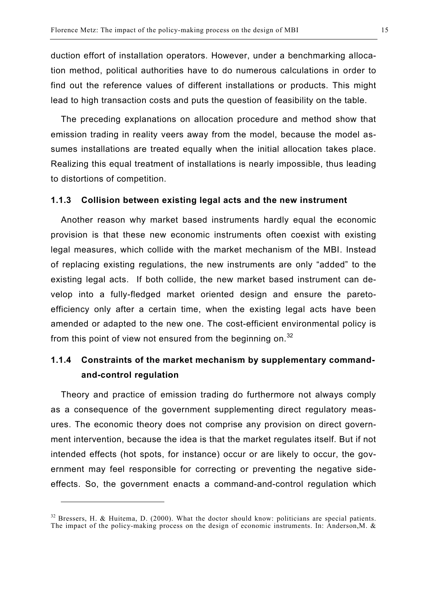duction effort of installation operators. However, under a benchmarking allocation method, political authorities have to do numerous calculations in order to find out the reference values of different installations or products. This might lead to high transaction costs and puts the question of feasibility on the table.

The preceding explanations on allocation procedure and method show that emission trading in reality veers away from the model, because the model assumes installations are treated equally when the initial allocation takes place. Realizing this equal treatment of installations is nearly impossible, thus leading to distortions of competition.

#### **1.1.3 Collision between existing legal acts and the new instrument**

Another reason why market based instruments hardly equal the economic provision is that these new economic instruments often coexist with existing legal measures, which collide with the market mechanism of the MBI. Instead of replacing existing regulations, the new instruments are only "added" to the existing legal acts. If both collide, the new market based instrument can develop into a fully-fledged market oriented design and ensure the paretoefficiency only after a certain time, when the existing legal acts have been amended or adapted to the new one. The cost-efficient environmental policy is from this point of view not ensured from the beginning on. $32$ 

## **1.1.4 Constraints of the market mechanism by supplementary commandand-control regulation**

Theory and practice of emission trading do furthermore not always comply as a consequence of the government supplementing direct regulatory measures. The economic theory does not comprise any provision on direct government intervention, because the idea is that the market regulates itself. But if not intended effects (hot spots, for instance) occur or are likely to occur, the government may feel responsible for correcting or preventing the negative sideeffects. So, the government enacts a command-and-control regulation which

 $32$  Bressers, H. & Huitema, D. (2000). What the doctor should know: politicians are special patients. The impact of the policy-making process on the design of economic instruments. In: Anderson,M. &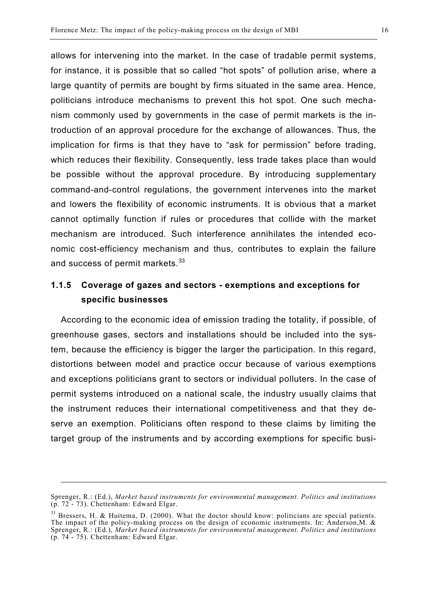allows for intervening into the market. In the case of tradable permit systems, for instance, it is possible that so called "hot spots" of pollution arise, where a large quantity of permits are bought by firms situated in the same area. Hence, politicians introduce mechanisms to prevent this hot spot. One such mechanism commonly used by governments in the case of permit markets is the introduction of an approval procedure for the exchange of allowances. Thus, the implication for firms is that they have to "ask for permission" before trading, which reduces their flexibility. Consequently, less trade takes place than would be possible without the approval procedure. By introducing supplementary command-and-control regulations, the government intervenes into the market and lowers the flexibility of economic instruments. It is obvious that a market cannot optimally function if rules or procedures that collide with the market mechanism are introduced. Such interference annihilates the intended economic cost-efficiency mechanism and thus, contributes to explain the failure and success of permit markets.<sup>33</sup>

### **1.1.5 Coverage of gazes and sectors - exemptions and exceptions for specific businesses**

According to the economic idea of emission trading the totality, if possible, of greenhouse gases, sectors and installations should be included into the system, because the efficiency is bigger the larger the participation. In this regard, distortions between model and practice occur because of various exemptions and exceptions politicians grant to sectors or individual polluters. In the case of permit systems introduced on a national scale, the industry usually claims that the instrument reduces their international competitiveness and that they deserve an exemption. Politicians often respond to these claims by limiting the target group of the instruments and by according exemptions for specific busi-

1

Sprenger, R.: (Ed.), *Market based instruments for environmental management. Politics and institutions*  $(p. 72 - 73)$ . Chettenham: Edward Elgar.

<sup>&</sup>lt;sup>33</sup> Bressers, H. & Huitema, D. (2000). What the doctor should know: politicians are special patients. The impact of the policy-making process on the design of economic instruments. In: Anderson,M. & Sprenger, R.: (Ed.), *Market based instruments for environmental management. Politics and institutions* (p. 74 - 75). Chettenham: Edward Elgar.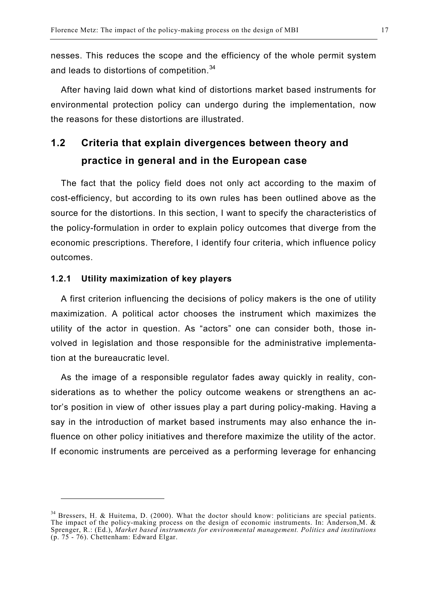nesses. This reduces the scope and the efficiency of the whole permit system and leads to distortions of competition.<sup>34</sup>

After having laid down what kind of distortions market based instruments for environmental protection policy can undergo during the implementation, now the reasons for these distortions are illustrated.

## **1.2 Criteria that explain divergences between theory and practice in general and in the European case**

The fact that the policy field does not only act according to the maxim of cost-efficiency, but according to its own rules has been outlined above as the source for the distortions. In this section, I want to specify the characteristics of the policy-formulation in order to explain policy outcomes that diverge from the economic prescriptions. Therefore, I identify four criteria, which influence policy outcomes.

#### **1.2.1 Utility maximization of key players**

l

A first criterion influencing the decisions of policy makers is the one of utility maximization. A political actor chooses the instrument which maximizes the utility of the actor in question. As "actors" one can consider both, those involved in legislation and those responsible for the administrative implementation at the bureaucratic level.

As the image of a responsible regulator fades away quickly in reality, considerations as to whether the policy outcome weakens or strengthens an actor's position in view of other issues play a part during policy-making. Having a say in the introduction of market based instruments may also enhance the influence on other policy initiatives and therefore maximize the utility of the actor. If economic instruments are perceived as a performing leverage for enhancing

 $34$  Bressers, H. & Huitema, D. (2000). What the doctor should know: politicians are special patients. The impact of the policy-making process on the design of economic instruments. In: Anderson,M. & Sprenger, R.: (Ed.), *Market based instruments for environmental management. Politics and institutions*  $(p. 75 - 76)$ . Chettenham: Edward Elgar.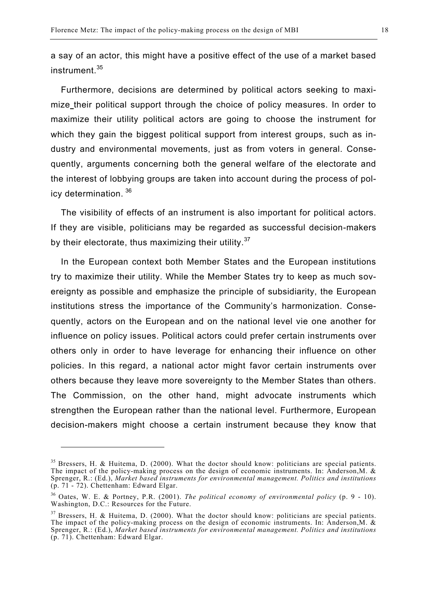a say of an actor, this might have a positive effect of the use of a market based instrument.<sup>35</sup>

Furthermore, decisions are determined by political actors seeking to maximize their political support through the choice of policy measures. In order to maximize their utility political actors are going to choose the instrument for which they gain the biggest political support from interest groups, such as industry and environmental movements, just as from voters in general. Consequently, arguments concerning both the general welfare of the electorate and the interest of lobbying groups are taken into account during the process of policy determination. <sup>36</sup>

The visibility of effects of an instrument is also important for political actors. If they are visible, politicians may be regarded as successful decision-makers by their electorate, thus maximizing their utility. $37$ 

In the European context both Member States and the European institutions try to maximize their utility. While the Member States try to keep as much sovereignty as possible and emphasize the principle of subsidiarity, the European institutions stress the importance of the Community's harmonization. Consequently, actors on the European and on the national level vie one another for influence on policy issues. Political actors could prefer certain instruments over others only in order to have leverage for enhancing their influence on other policies. In this regard, a national actor might favor certain instruments over others because they leave more sovereignty to the Member States than others. The Commission, on the other hand, might advocate instruments which strengthen the European rather than the national level. Furthermore, European decision-makers might choose a certain instrument because they know that

<sup>&</sup>lt;sup>35</sup> Bressers, H. & Huitema, D. (2000). What the doctor should know: politicians are special patients. The impact of the policy-making process on the design of economic instruments. In: Anderson,M. & Sprenger, R.: (Ed.), *Market based instruments for environmental management. Politics and institutions* (p. 71 - 72). Chettenham: Edward Elgar.

<sup>36</sup> Oates, W. E. & Portney, P.R. (2001). *The political economy of environmental policy* (p. 9 - 10). Washington, D.C.: Resources for the Future.

 $37$  Bressers, H. & Huitema, D. (2000). What the doctor should know: politicians are special patients. The impact of the policy-making process on the design of economic instruments. In: Anderson,M. & Sprenger, R.: (Ed.), *Market based instruments for environmental management. Politics and institutions* (p. 71). Chettenham: Edward Elgar.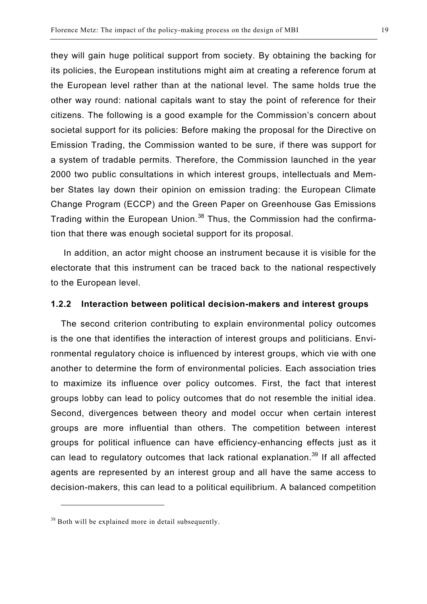they will gain huge political support from society. By obtaining the backing for its policies, the European institutions might aim at creating a reference forum at the European level rather than at the national level. The same holds true the other way round: national capitals want to stay the point of reference for their citizens. The following is a good example for the Commission's concern about societal support for its policies: Before making the proposal for the Directive on Emission Trading, the Commission wanted to be sure, if there was support for a system of tradable permits. Therefore, the Commission launched in the year 2000 two public consultations in which interest groups, intellectuals and Member States lay down their opinion on emission trading: the European Climate Change Program (ECCP) and the Green Paper on Greenhouse Gas Emissions Trading within the European Union.<sup>38</sup> Thus, the Commission had the confirmation that there was enough societal support for its proposal.

 In addition, an actor might choose an instrument because it is visible for the electorate that this instrument can be traced back to the national respectively to the European level.

#### **1.2.2 Interaction between political decision-makers and interest groups**

The second criterion contributing to explain environmental policy outcomes is the one that identifies the interaction of interest groups and politicians. Environmental regulatory choice is influenced by interest groups, which vie with one another to determine the form of environmental policies. Each association tries to maximize its influence over policy outcomes. First, the fact that interest groups lobby can lead to policy outcomes that do not resemble the initial idea. Second, divergences between theory and model occur when certain interest groups are more influential than others. The competition between interest groups for political influence can have efficiency-enhancing effects just as it can lead to regulatory outcomes that lack rational explanation.<sup>39</sup> If all affected agents are represented by an interest group and all have the same access to decision-makers, this can lead to a political equilibrium. A balanced competition

 $\overline{a}$ 

 $38$  Both will be explained more in detail subsequently.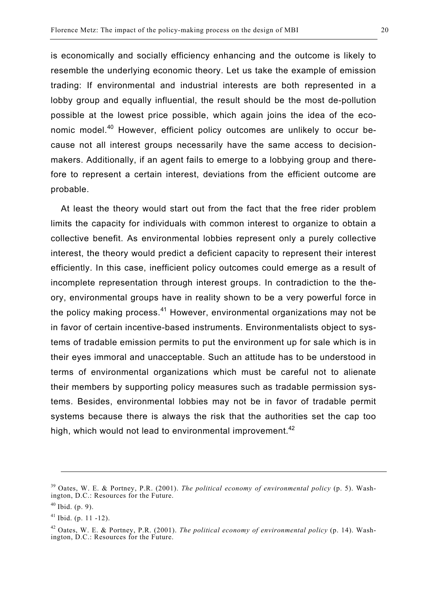is economically and socially efficiency enhancing and the outcome is likely to resemble the underlying economic theory. Let us take the example of emission trading: If environmental and industrial interests are both represented in a lobby group and equally influential, the result should be the most de-pollution possible at the lowest price possible, which again joins the idea of the economic model.<sup>40</sup> However, efficient policy outcomes are unlikely to occur because not all interest groups necessarily have the same access to decisionmakers. Additionally, if an agent fails to emerge to a lobbying group and therefore to represent a certain interest, deviations from the efficient outcome are probable.

At least the theory would start out from the fact that the free rider problem limits the capacity for individuals with common interest to organize to obtain a collective benefit. As environmental lobbies represent only a purely collective interest, the theory would predict a deficient capacity to represent their interest efficiently. In this case, inefficient policy outcomes could emerge as a result of incomplete representation through interest groups. In contradiction to the theory, environmental groups have in reality shown to be a very powerful force in the policy making process.<sup>41</sup> However, environmental organizations may not be in favor of certain incentive-based instruments. Environmentalists object to systems of tradable emission permits to put the environment up for sale which is in their eyes immoral and unacceptable. Such an attitude has to be understood in terms of environmental organizations which must be careful not to alienate their members by supporting policy measures such as tradable permission systems. Besides, environmental lobbies may not be in favor of tradable permit systems because there is always the risk that the authorities set the cap too high, which would not lead to environmental improvement.<sup>42</sup>

1

<sup>39</sup> Oates, W. E. & Portney, P.R. (2001). *The political economy of environmental policy* (p. 5). Washington, D.C.: Resources for the Future.

 $40$  Ibid. (p. 9).

 $41$  Ibid. (p. 11 -12).

<sup>42</sup> Oates, W. E. & Portney, P.R. (2001). *The political economy of environmental policy* (p. 14). Washington, D.C.: Resources for the Future.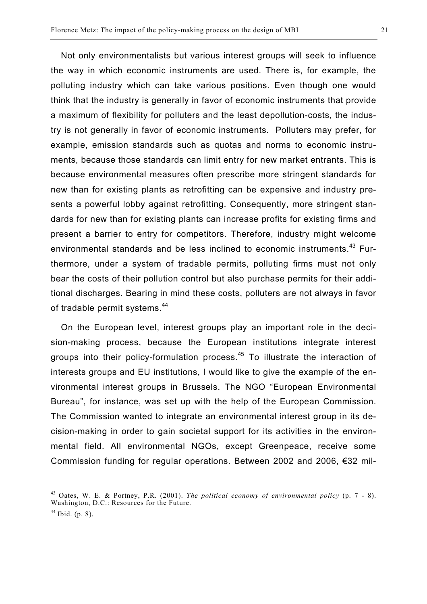Not only environmentalists but various interest groups will seek to influence the way in which economic instruments are used. There is, for example, the polluting industry which can take various positions. Even though one would think that the industry is generally in favor of economic instruments that provide a maximum of flexibility for polluters and the least depollution-costs, the industry is not generally in favor of economic instruments. Polluters may prefer, for example, emission standards such as quotas and norms to economic instruments, because those standards can limit entry for new market entrants. This is because environmental measures often prescribe more stringent standards for new than for existing plants as retrofitting can be expensive and industry presents a powerful lobby against retrofitting. Consequently, more stringent standards for new than for existing plants can increase profits for existing firms and present a barrier to entry for competitors. Therefore, industry might welcome environmental standards and be less inclined to economic instruments.<sup>43</sup> Furthermore, under a system of tradable permits, polluting firms must not only bear the costs of their pollution control but also purchase permits for their additional discharges. Bearing in mind these costs, polluters are not always in favor of tradable permit systems.<sup>44</sup>

On the European level, interest groups play an important role in the decision-making process, because the European institutions integrate interest groups into their policy-formulation process.45 To illustrate the interaction of interests groups and EU institutions, I would like to give the example of the environmental interest groups in Brussels. The NGO "European Environmental Bureau", for instance, was set up with the help of the European Commission. The Commission wanted to integrate an environmental interest group in its decision-making in order to gain societal support for its activities in the environmental field. All environmental NGOs, except Greenpeace, receive some Commission funding for regular operations. Between 2002 and 2006, €32 mil-

 $\overline{a}$ 

<sup>43</sup> Oates, W. E. & Portney, P.R. (2001). *The political economy of environmental policy* (p. 7 - 8). Washington, D.C.: Resources for the Future.

 $44$  Ibid. (p. 8).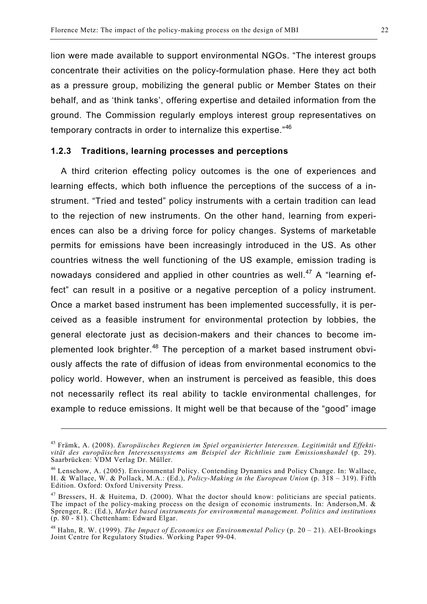lion were made available to support environmental NGOs. "The interest groups concentrate their activities on the policy-formulation phase. Here they act both as a pressure group, mobilizing the general public or Member States on their behalf, and as 'think tanks', offering expertise and detailed information from the ground. The Commission regularly employs interest group representatives on temporary contracts in order to internalize this expertise."<sup>46</sup>

#### **1.2.3 Traditions, learning processes and perceptions**

A third criterion effecting policy outcomes is the one of experiences and learning effects, which both influence the perceptions of the success of a instrument. "Tried and tested" policy instruments with a certain tradition can lead to the rejection of new instruments. On the other hand, learning from experiences can also be a driving force for policy changes. Systems of marketable permits for emissions have been increasingly introduced in the US. As other countries witness the well functioning of the US example, emission trading is nowadays considered and applied in other countries as well.<sup>47</sup> A "learning effect" can result in a positive or a negative perception of a policy instrument. Once a market based instrument has been implemented successfully, it is perceived as a feasible instrument for environmental protection by lobbies, the general electorate just as decision-makers and their chances to become implemented look brighter.<sup>48</sup> The perception of a market based instrument obviously affects the rate of diffusion of ideas from environmental economics to the policy world. However, when an instrument is perceived as feasible, this does not necessarily reflect its real ability to tackle environmental challenges, for example to reduce emissions. It might well be that because of the "good" image

<u>.</u>

<sup>45</sup> Främk, A. (2008). *Europäisches Regieren im Spiel organisierter Interessen. Legitimität und Effektivität des europäischen Interessensystems am Beispiel der Richtlinie zum Emissionshandel* (p. 29). Saarbrücken: VDM Verlag Dr. Müller.

<sup>46</sup> Lenschow, A. (2005). Environmental Policy. Contending Dynamics and Policy Change. In: Wallace, H. & Wallace, W. & Pollack, M.A.: (Ed.), *Policy-Making in the European Union* (p. 318 – 319). Fifth Edition. Oxford: Oxford University Press.

 $47$  Bressers, H. & Huitema, D. (2000). What the doctor should know: politicians are special patients. The impact of the policy-making process on the design of economic instruments. In: Anderson,M. & Sprenger, R.: (Ed.), *Market based instruments for environmental management. Politics and institutions* (p. 80 - 81). Chettenham: Edward Elgar.

<sup>48</sup> Hahn, R. W. (1999). *The Impact of Economics on Environmental Policy* (p. 20 – 21). AEI-Brookings Joint Centre for Regulatory Studies. Working Paper 99-04.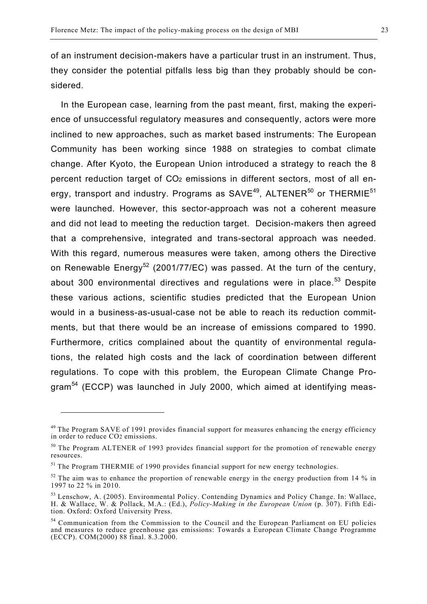of an instrument decision-makers have a particular trust in an instrument. Thus, they consider the potential pitfalls less big than they probably should be considered.

In the European case, learning from the past meant, first, making the experience of unsuccessful regulatory measures and consequently, actors were more inclined to new approaches, such as market based instruments: The European Community has been working since 1988 on strategies to combat climate change. After Kyoto, the European Union introduced a strategy to reach the 8 percent reduction target of CO2 emissions in different sectors, most of all energy, transport and industry. Programs as  $SAVE^{49}$ ,  $ALTENER<sup>50</sup>$  or THERMIE<sup>51</sup> were launched. However, this sector-approach was not a coherent measure and did not lead to meeting the reduction target. Decision-makers then agreed that a comprehensive, integrated and trans-sectoral approach was needed. With this regard, numerous measures were taken, among others the Directive on Renewable Energy<sup>52</sup> (2001/77/EC) was passed. At the turn of the century, about 300 environmental directives and regulations were in place.<sup>53</sup> Despite these various actions, scientific studies predicted that the European Union would in a business-as-usual-case not be able to reach its reduction commitments, but that there would be an increase of emissions compared to 1990. Furthermore, critics complained about the quantity of environmental regulations, the related high costs and the lack of coordination between different regulations. To cope with this problem, the European Climate Change Program<sup>54</sup> (ECCP) was launched in July 2000, which aimed at identifying meas-

 $^{49}$  The Program SAVE of 1991 provides financial support for measures enhancing the energy efficiency in order to reduce CO2 emissions.

<sup>&</sup>lt;sup>50</sup> The Program ALTENER of 1993 provides financial support for the promotion of renewable energy resources.

 $<sup>51</sup>$  The Program THERMIE of 1990 provides financial support for new energy technologies.</sup>

 $52$  The aim was to enhance the proportion of renewable energy in the energy production from 14 % in 1997 to 22 % in 2010.

<sup>&</sup>lt;sup>53</sup> Lenschow, A. (2005). Environmental Policy. Contending Dynamics and Policy Change. In: Wallace, H. & Wallace, W. & Pollack, M.A.: (Ed.), *Policy-Making in the European Union* (p. 307). Fifth Edition. Oxford: Oxford University Press.

<sup>&</sup>lt;sup>54</sup> Communication from the Commission to the Council and the European Parliament on EU policies and measures to reduce greenhouse gas emissions: Towards a European Climate Change Programme (ECCP). COM(2000) 88 final. 8.3.2000.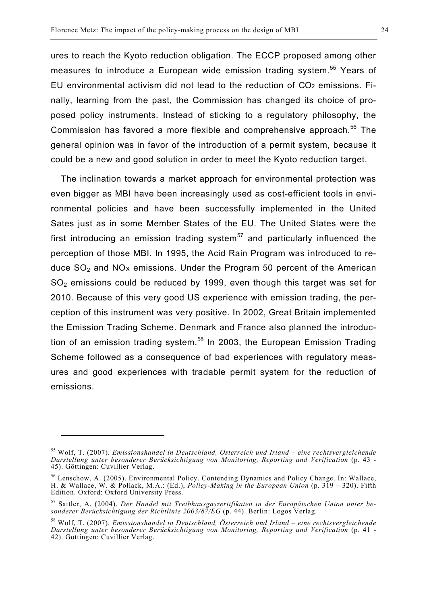ures to reach the Kyoto reduction obligation. The ECCP proposed among other measures to introduce a European wide emission trading system.<sup>55</sup> Years of EU environmental activism did not lead to the reduction of CO2 emissions. Finally, learning from the past, the Commission has changed its choice of proposed policy instruments. Instead of sticking to a regulatory philosophy, the Commission has favored a more flexible and comprehensive approach.<sup>56</sup> The general opinion was in favor of the introduction of a permit system, because it could be a new and good solution in order to meet the Kyoto reduction target.

The inclination towards a market approach for environmental protection was even bigger as MBI have been increasingly used as cost-efficient tools in environmental policies and have been successfully implemented in the United Sates just as in some Member States of the EU. The United States were the first introducing an emission trading system<sup>57</sup> and particularly influenced the perception of those MBI. In 1995, the Acid Rain Program was introduced to reduce  $SO<sub>2</sub>$  and NO<sub>x</sub> emissions. Under the Program 50 percent of the American SO<sub>2</sub> emissions could be reduced by 1999, even though this target was set for 2010. Because of this very good US experience with emission trading, the perception of this instrument was very positive. In 2002, Great Britain implemented the Emission Trading Scheme. Denmark and France also planned the introduction of an emission trading system.<sup>58</sup> In 2003, the European Emission Trading Scheme followed as a consequence of bad experiences with regulatory measures and good experiences with tradable permit system for the reduction of emissions.

<sup>55</sup> Wolf, T. (2007). *Emissionshandel in Deutschland, Österreich und Irland – eine rechtsvergleichende Darstellung unter besonderer Berücksichtigung von Monitoring, Reporting und Verification* (p. 43 - 45). Göttingen: Cuvillier Verlag.

<sup>56</sup> Lenschow, A. (2005). Environmental Policy. Contending Dynamics and Policy Change. In: Wallace, H. & Wallace, W. & Pollack, M.A.: (Ed.), *Policy-Making in the European Union* (p. 319 – 320). Fifth Edition. Oxford: Oxford University Press.

<sup>57</sup> Sattler, A. (2004). *Der Handel mit Treibhausgaszertifikaten in der Europäischen Union unter besonderer Berücksichtigung der Richtlinie 2003/87/EG* (p. 44). Berlin: Logos Verlag.

<sup>58</sup> Wolf, T. (2007). *Emissionshandel in Deutschland, Österreich und Irland – eine rechtsvergleichende Darstellung unter besonderer Berücksichtigung von Monitoring, Reporting und Verification* (p. 41 - 42). Göttingen: Cuvillier Verlag.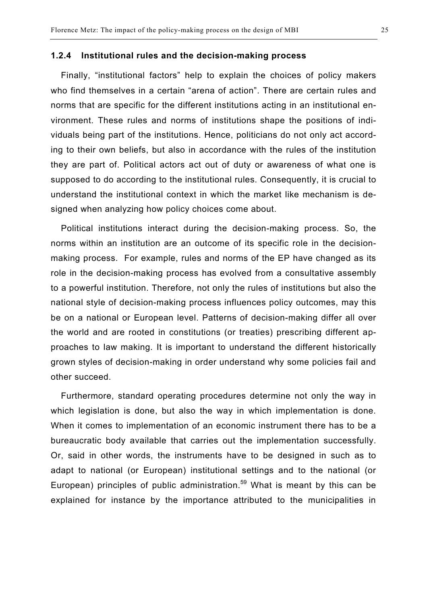#### **1.2.4 Institutional rules and the decision-making process**

Finally, "institutional factors" help to explain the choices of policy makers who find themselves in a certain "arena of action". There are certain rules and norms that are specific for the different institutions acting in an institutional environment. These rules and norms of institutions shape the positions of individuals being part of the institutions. Hence, politicians do not only act according to their own beliefs, but also in accordance with the rules of the institution they are part of. Political actors act out of duty or awareness of what one is supposed to do according to the institutional rules. Consequently, it is crucial to understand the institutional context in which the market like mechanism is designed when analyzing how policy choices come about.

Political institutions interact during the decision-making process. So, the norms within an institution are an outcome of its specific role in the decisionmaking process. For example, rules and norms of the EP have changed as its role in the decision-making process has evolved from a consultative assembly to a powerful institution. Therefore, not only the rules of institutions but also the national style of decision-making process influences policy outcomes, may this be on a national or European level. Patterns of decision-making differ all over the world and are rooted in constitutions (or treaties) prescribing different approaches to law making. It is important to understand the different historically grown styles of decision-making in order understand why some policies fail and other succeed.

Furthermore, standard operating procedures determine not only the way in which legislation is done, but also the way in which implementation is done. When it comes to implementation of an economic instrument there has to be a bureaucratic body available that carries out the implementation successfully. Or, said in other words, the instruments have to be designed in such as to adapt to national (or European) institutional settings and to the national (or European) principles of public administration.<sup>59</sup> What is meant by this can be explained for instance by the importance attributed to the municipalities in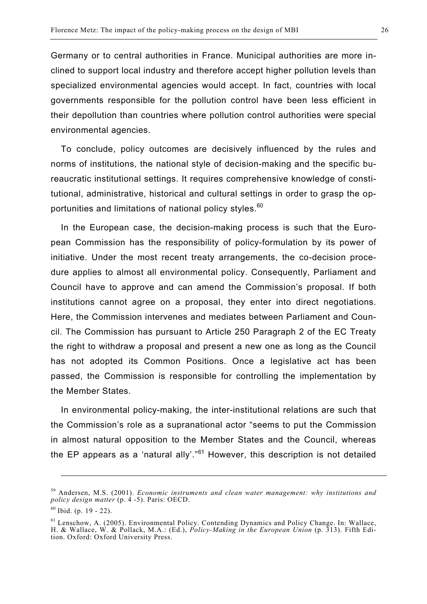Germany or to central authorities in France. Municipal authorities are more inclined to support local industry and therefore accept higher pollution levels than specialized environmental agencies would accept. In fact, countries with local governments responsible for the pollution control have been less efficient in their depollution than countries where pollution control authorities were special environmental agencies.

To conclude, policy outcomes are decisively influenced by the rules and norms of institutions, the national style of decision-making and the specific bureaucratic institutional settings. It requires comprehensive knowledge of constitutional, administrative, historical and cultural settings in order to grasp the opportunities and limitations of national policy styles.<sup>60</sup>

In the European case, the decision-making process is such that the European Commission has the responsibility of policy-formulation by its power of initiative. Under the most recent treaty arrangements, the co-decision procedure applies to almost all environmental policy. Consequently, Parliament and Council have to approve and can amend the Commission's proposal. If both institutions cannot agree on a proposal, they enter into direct negotiations. Here, the Commission intervenes and mediates between Parliament and Council. The Commission has pursuant to Article 250 Paragraph 2 of the EC Treaty the right to withdraw a proposal and present a new one as long as the Council has not adopted its Common Positions. Once a legislative act has been passed, the Commission is responsible for controlling the implementation by the Member States.

In environmental policy-making, the inter-institutional relations are such that the Commission's role as a supranational actor "seems to put the Commission in almost natural opposition to the Member States and the Council, whereas the EP appears as a 'natural ally'." $61$  However, this description is not detailed

1

<sup>59</sup> Andersen, M.S. (2001). *Economic instruments and clean water management: why institutions and policy design matter* (p. 4 -5). Paris: OECD.

 $60$  Ibid. (p. 19 - 22).

<sup>61</sup> Lenschow, A. (2005). Environmental Policy. Contending Dynamics and Policy Change. In: Wallace, H. & Wallace, W. & Pollack, M.A.: (Ed.), *Policy-Making in the European Union* (p. 313). Fifth Edition. Oxford: Oxford University Press.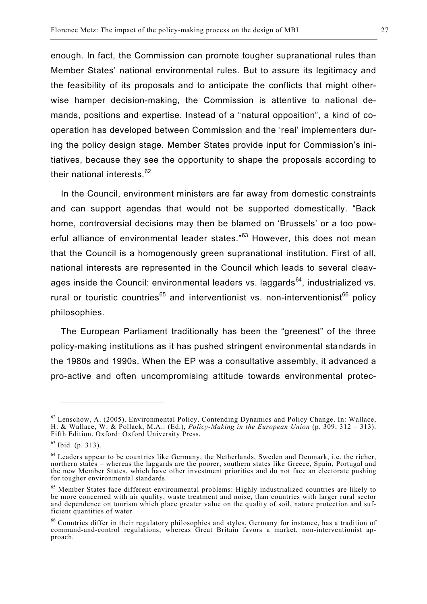enough. In fact, the Commission can promote tougher supranational rules than Member States' national environmental rules. But to assure its legitimacy and the feasibility of its proposals and to anticipate the conflicts that might otherwise hamper decision-making, the Commission is attentive to national demands, positions and expertise. Instead of a "natural opposition", a kind of cooperation has developed between Commission and the 'real' implementers during the policy design stage. Member States provide input for Commission's initiatives, because they see the opportunity to shape the proposals according to their national interests.<sup>62</sup>

In the Council, environment ministers are far away from domestic constraints and can support agendas that would not be supported domestically. "Back home, controversial decisions may then be blamed on 'Brussels' or a too powerful alliance of environmental leader states."<sup>63</sup> However, this does not mean that the Council is a homogenously green supranational institution. First of all, national interests are represented in the Council which leads to several cleavages inside the Council: environmental leaders vs. laggards<sup>64</sup>, industrialized vs. rural or touristic countries<sup>65</sup> and interventionist vs. non-interventionist<sup>66</sup> policy philosophies.

The European Parliament traditionally has been the "greenest" of the three policy-making institutions as it has pushed stringent environmental standards in the 1980s and 1990s. When the EP was a consultative assembly, it advanced a pro-active and often uncompromising attitude towards environmental protec-

 $\overline{a}$ 

 $62$  Lenschow, A. (2005). Environmental Policy. Contending Dynamics and Policy Change. In: Wallace, H. & Wallace, W. & Pollack, M.A.: (Ed.), *Policy-Making in the European Union* (p. 309; 312 – 313). Fifth Edition. Oxford: Oxford University Press.

 $63$  Ibid. (p. 313).

<sup>&</sup>lt;sup>64</sup> Leaders appear to be countries like Germany, the Netherlands, Sweden and Denmark, i.e. the richer, northern states – whereas the laggards are the poorer, southern states like Greece, Spain, Portugal and the new Member States, which have other investment priorities and do not face an electorate pushing for tougher environmental standards.

<sup>65</sup> Member States face different environmental problems: Highly industrialized countries are likely to be more concerned with air quality, waste treatment and noise, than countries with larger rural sector and dependence on tourism which place greater value on the quality of soil, nature protection and sufficient quantities of water.

<sup>66</sup> Countries differ in their regulatory philosophies and styles. Germany for instance, has a tradition of command-and-control regulations, whereas Great Britain favors a market, non-interventionist approach.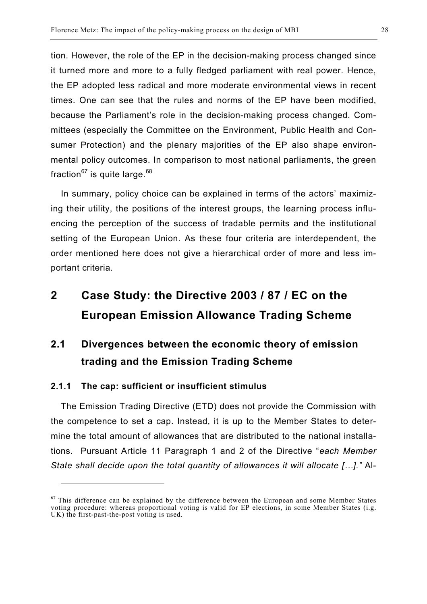tion. However, the role of the EP in the decision-making process changed since it turned more and more to a fully fledged parliament with real power. Hence, the EP adopted less radical and more moderate environmental views in recent times. One can see that the rules and norms of the EP have been modified, because the Parliament's role in the decision-making process changed. Committees (especially the Committee on the Environment, Public Health and Consumer Protection) and the plenary majorities of the EP also shape environmental policy outcomes. In comparison to most national parliaments, the green fraction $67$  is quite large.  $68$ 

In summary, policy choice can be explained in terms of the actors' maximizing their utility, the positions of the interest groups, the learning process influencing the perception of the success of tradable permits and the institutional setting of the European Union. As these four criteria are interdependent, the order mentioned here does not give a hierarchical order of more and less important criteria.

## **2 Case Study: the Directive 2003 / 87 / EC on the European Emission Allowance Trading Scheme**

## **2.1 Divergences between the economic theory of emission trading and the Emission Trading Scheme**

#### **2.1.1 The cap: sufficient or insufficient stimulus**

 $\overline{a}$ 

The Emission Trading Directive (ETD) does not provide the Commission with the competence to set a cap. Instead, it is up to the Member States to determine the total amount of allowances that are distributed to the national installations. Pursuant Article 11 Paragraph 1 and 2 of the Directive "*each Member State shall decide upon the total quantity of allowances it will allocate […]."* Al-

 $67$  This difference can be explained by the difference between the European and some Member States voting procedure: whereas proportional voting is valid for EP elections, in some Member States (i.g. UK) the first-past-the-post voting is used.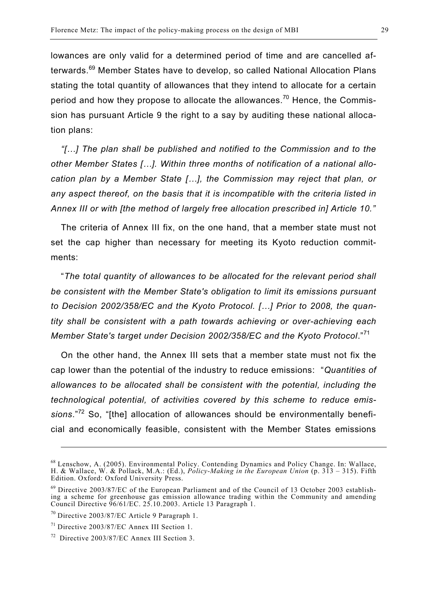lowances are only valid for a determined period of time and are cancelled afterwards.<sup>69</sup> Member States have to develop, so called National Allocation Plans stating the total quantity of allowances that they intend to allocate for a certain period and how they propose to allocate the allowances.<sup>70</sup> Hence, the Commission has pursuant Article 9 the right to a say by auditing these national allocation plans:

*"[…] The plan shall be published and notified to the Commission and to the other Member States […]. Within three months of notification of a national allocation plan by a Member State […], the Commission may reject that plan, or any aspect thereof, on the basis that it is incompatible with the criteria listed in Annex III or with [the method of largely free allocation prescribed in] Article 10."* 

The criteria of Annex III fix, on the one hand, that a member state must not set the cap higher than necessary for meeting its Kyoto reduction commitments:

"*The total quantity of allowances to be allocated for the relevant period shall be consistent with the Member State's obligation to limit its emissions pursuant to Decision 2002/358/EC and the Kyoto Protocol. […] Prior to 2008, the quantity shall be consistent with a path towards achieving or over-achieving each Member State's target under Decision 2002/358/EC and the Kyoto Protocol*."<sup>71</sup>

On the other hand, the Annex III sets that a member state must not fix the cap lower than the potential of the industry to reduce emissions: "*Quantities of allowances to be allocated shall be consistent with the potential, including the technological potential, of activities covered by this scheme to reduce emissions*."72 So, "[the] allocation of allowances should be environmentally beneficial and economically feasible, consistent with the Member States emissions

1

<sup>68</sup> Lenschow, A. (2005). Environmental Policy. Contending Dynamics and Policy Change. In: Wallace, H. & Wallace, W. & Pollack, M.A.: (Ed.), *Policy-Making in the European Union* (p. 313 – 315). Fifth Edition. Oxford: Oxford University Press.

 $69$  Directive 2003/87/EC of the European Parliament and of the Council of 13 October 2003 establishing a scheme for greenhouse gas emission allowance trading within the Community and amending Council Directive 96/61/EC. 25.10.2003. Article 13 Paragraph 1.

 $70$  Directive 2003/87/EC Article 9 Paragraph 1.

 $71$  Directive 2003/87/EC Annex III Section 1.

<sup>72</sup> Directive 2003/87/EC Annex III Section 3.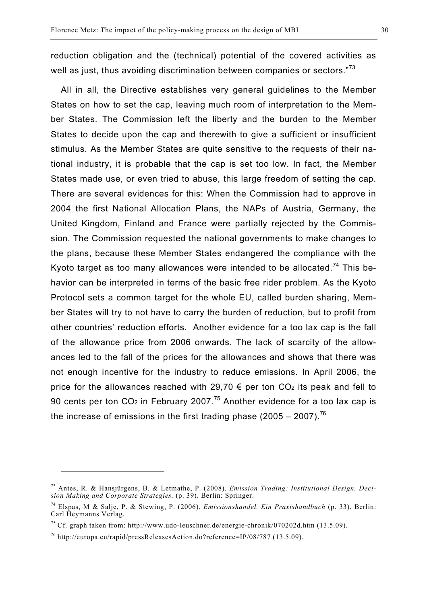reduction obligation and the (technical) potential of the covered activities as well as just, thus avoiding discrimination between companies or sectors."73

All in all, the Directive establishes very general guidelines to the Member States on how to set the cap, leaving much room of interpretation to the Member States. The Commission left the liberty and the burden to the Member States to decide upon the cap and therewith to give a sufficient or insufficient stimulus. As the Member States are quite sensitive to the requests of their national industry, it is probable that the cap is set too low. In fact, the Member States made use, or even tried to abuse, this large freedom of setting the cap. There are several evidences for this: When the Commission had to approve in 2004 the first National Allocation Plans, the NAPs of Austria, Germany, the United Kingdom, Finland and France were partially rejected by the Commission. The Commission requested the national governments to make changes to the plans, because these Member States endangered the compliance with the Kyoto target as too many allowances were intended to be allocated.<sup>74</sup> This behavior can be interpreted in terms of the basic free rider problem. As the Kyoto Protocol sets a common target for the whole EU, called burden sharing, Member States will try to not have to carry the burden of reduction, but to profit from other countries' reduction efforts. Another evidence for a too lax cap is the fall of the allowance price from 2006 onwards. The lack of scarcity of the allowances led to the fall of the prices for the allowances and shows that there was not enough incentive for the industry to reduce emissions. In April 2006, the price for the allowances reached with 29,70  $\epsilon$  per ton CO<sub>2</sub> its peak and fell to 90 cents per ton CO<sub>2</sub> in February 2007.<sup>75</sup> Another evidence for a too lax cap is the increase of emissions in the first trading phase (2005 – 2007).<sup>76</sup>

<sup>73</sup> Antes, R. & Hansjürgens, B. & Letmathe, P. (2008). *Emission Trading: Institutional Design, Decision Making and Corporate Strategies.* (p. 39). Berlin: Springer.

<sup>74</sup> Elspas, M & Salje, P. & Stewing, P. (2006). *Emissionshandel. Ein Praxishandbuch* (p. 33). Berlin: Carl Heymanns Verlag.

<sup>&</sup>lt;sup>75</sup> Cf. graph taken from: http://www.udo-leuschner.de/energie-chronik/070202d.htm (13.5.09).

<sup>76</sup> http://europa.eu/rapid/pressReleasesAction.do?reference=IP/08/787 (13.5.09).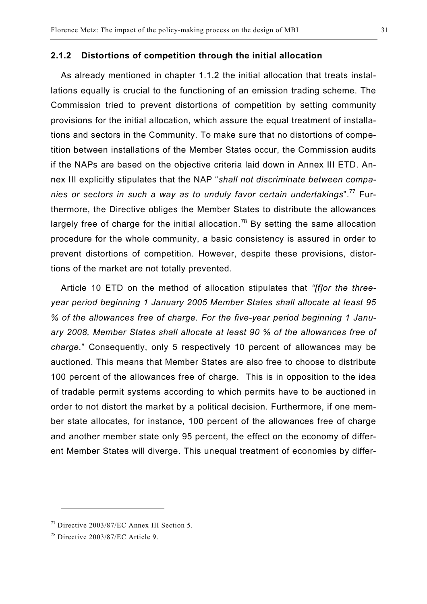#### **2.1.2 Distortions of competition through the initial allocation**

As already mentioned in chapter 1.1.2 the initial allocation that treats installations equally is crucial to the functioning of an emission trading scheme. The Commission tried to prevent distortions of competition by setting community provisions for the initial allocation, which assure the equal treatment of installations and sectors in the Community. To make sure that no distortions of competition between installations of the Member States occur, the Commission audits if the NAPs are based on the objective criteria laid down in Annex III ETD. Annex III explicitly stipulates that the NAP "*shall not discriminate between companies or sectors in such a way as to unduly favor certain undertakings*".<sup>77</sup> Furthermore, the Directive obliges the Member States to distribute the allowances largely free of charge for the initial allocation.<sup>78</sup> By setting the same allocation procedure for the whole community, a basic consistency is assured in order to prevent distortions of competition. However, despite these provisions, distortions of the market are not totally prevented.

Article 10 ETD on the method of allocation stipulates that *"[f]or the threeyear period beginning 1 January 2005 Member States shall allocate at least 95 % of the allowances free of charge. For the five-year period beginning 1 January 2008, Member States shall allocate at least 90 % of the allowances free of charge.*" Consequently, only 5 respectively 10 percent of allowances may be auctioned. This means that Member States are also free to choose to distribute 100 percent of the allowances free of charge. This is in opposition to the idea of tradable permit systems according to which permits have to be auctioned in order to not distort the market by a political decision. Furthermore, if one member state allocates, for instance, 100 percent of the allowances free of charge and another member state only 95 percent, the effect on the economy of different Member States will diverge. This unequal treatment of economies by differ-

 $77$  Directive 2003/87/EC Annex III Section 5.

 $78$  Directive 2003/87/EC Article 9.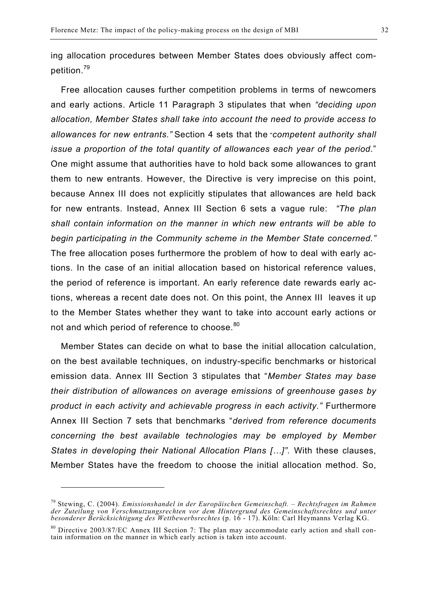ing allocation procedures between Member States does obviously affect competition.<sup>79</sup>

Free allocation causes further competition problems in terms of newcomers and early actions. Article 11 Paragraph 3 stipulates that when *"deciding upon allocation, Member States shall take into account the need to provide access to allowances for new entrants."* Section 4 sets that the"*competent authority shall issue a proportion of the total quantity of allowances each year of the period*." One might assume that authorities have to hold back some allowances to grant them to new entrants. However, the Directive is very imprecise on this point, because Annex III does not explicitly stipulates that allowances are held back for new entrants. Instead, Annex III Section 6 sets a vague rule: *"The plan shall contain information on the manner in which new entrants will be able to begin participating in the Community scheme in the Member State concerned."* The free allocation poses furthermore the problem of how to deal with early actions. In the case of an initial allocation based on historical reference values, the period of reference is important. An early reference date rewards early actions, whereas a recent date does not. On this point, the Annex III leaves it up to the Member States whether they want to take into account early actions or not and which period of reference to choose.<sup>80</sup>

Member States can decide on what to base the initial allocation calculation, on the best available techniques, on industry-specific benchmarks or historical emission data. Annex III Section 3 stipulates that "*Member States may base their distribution of allowances on average emissions of greenhouse gases by product in each activity and achievable progress in each activity."* Furthermore Annex III Section 7 sets that benchmarks "*derived from reference documents concerning the best available technologies may be employed by Member States in developing their National Allocation Plans […]".* With these clauses, Member States have the freedom to choose the initial allocation method. So,

<sup>79</sup> Stewing, C. (2004). *Emissionshandel in der Europäischen Gemeinschaft. – Rechtsfragen im Rahmen der Zuteilung von Verschmutzungsrechten vor dem Hintergrund des Gemeinschaftsrechtes und unter besonderer Berücksichtigung des Wettbewerbsrechtes* (p. 16 - 17). Köln: Carl Heymanns Verlag KG.

<sup>&</sup>lt;sup>80</sup> Directive 2003/87/EC Annex III Section 7: The plan may accommodate early action and shall contain information on the manner in which early action is taken into account.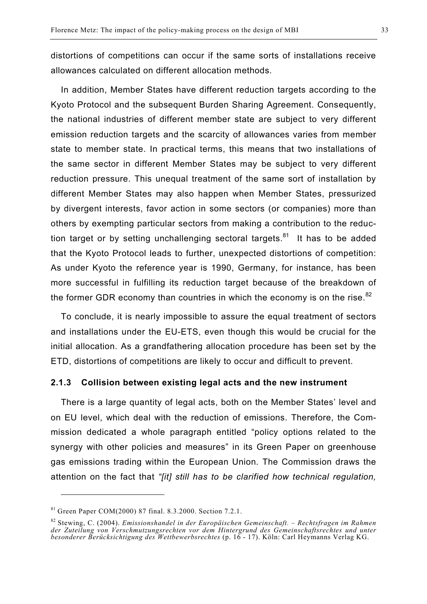distortions of competitions can occur if the same sorts of installations receive allowances calculated on different allocation methods.

In addition, Member States have different reduction targets according to the Kyoto Protocol and the subsequent Burden Sharing Agreement. Consequently, the national industries of different member state are subject to very different emission reduction targets and the scarcity of allowances varies from member state to member state. In practical terms, this means that two installations of the same sector in different Member States may be subject to very different reduction pressure. This unequal treatment of the same sort of installation by different Member States may also happen when Member States, pressurized by divergent interests, favor action in some sectors (or companies) more than others by exempting particular sectors from making a contribution to the reduction target or by setting unchallenging sectoral targets. $81$  It has to be added that the Kyoto Protocol leads to further, unexpected distortions of competition: As under Kyoto the reference year is 1990, Germany, for instance, has been more successful in fulfilling its reduction target because of the breakdown of the former GDR economy than countries in which the economy is on the rise. $82$ 

To conclude, it is nearly impossible to assure the equal treatment of sectors and installations under the EU-ETS, even though this would be crucial for the initial allocation. As a grandfathering allocation procedure has been set by the ETD, distortions of competitions are likely to occur and difficult to prevent.

#### **2.1.3 Collision between existing legal acts and the new instrument**

There is a large quantity of legal acts, both on the Member States' level and on EU level, which deal with the reduction of emissions. Therefore, the Commission dedicated a whole paragraph entitled "policy options related to the synergy with other policies and measures" in its Green Paper on greenhouse gas emissions trading within the European Union*.* The Commission draws the attention on the fact that *"[it] still has to be clarified how technical regulation,* 

 $\overline{a}$ 

 $81$  Green Paper COM(2000) 87 final. 8.3.2000. Section 7.2.1.

<sup>82</sup> Stewing, C. (2004). *Emissionshandel in der Europäischen Gemeinschaft. – Rechtsfragen im Rahmen der Zuteilung von Verschmutzungsrechten vor dem Hintergrund des Gemeinschaftsrechtes und unter besonderer Berücksichtigung des Wettbewerbsrechtes* (p. 16 - 17). Köln: Carl Heymanns Verlag KG.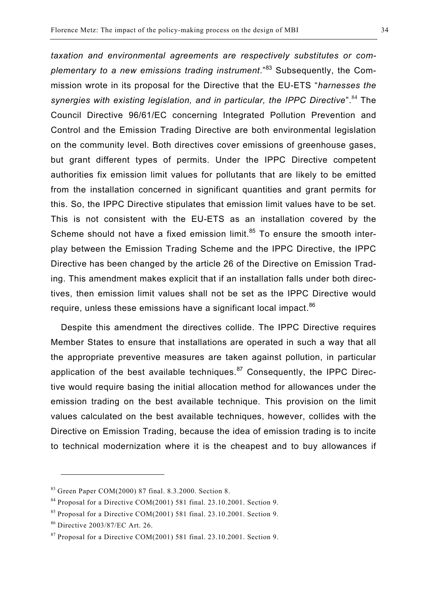*taxation and environmental agreements are respectively substitutes or complementary to a new emissions trading instrument*."83 Subsequently, the Commission wrote in its proposal for the Directive that the EU-ETS "*harnesses the*  synergies with existing legislation, and in particular, the IPPC Directive<sup>".84</sup> The Council Directive 96/61/EC concerning Integrated Pollution Prevention and Control and the Emission Trading Directive are both environmental legislation on the community level. Both directives cover emissions of greenhouse gases, but grant different types of permits. Under the IPPC Directive competent authorities fix emission limit values for pollutants that are likely to be emitted from the installation concerned in significant quantities and grant permits for this. So, the IPPC Directive stipulates that emission limit values have to be set. This is not consistent with the EU-ETS as an installation covered by the Scheme should not have a fixed emission limit.<sup>85</sup> To ensure the smooth interplay between the Emission Trading Scheme and the IPPC Directive, the IPPC Directive has been changed by the article 26 of the Directive on Emission Trading. This amendment makes explicit that if an installation falls under both directives, then emission limit values shall not be set as the IPPC Directive would require, unless these emissions have a significant local impact.<sup>86</sup>

Despite this amendment the directives collide. The IPPC Directive requires Member States to ensure that installations are operated in such a way that all the appropriate preventive measures are taken against pollution, in particular application of the best available techniques.<sup>87</sup> Consequently, the IPPC Directive would require basing the initial allocation method for allowances under the emission trading on the best available technique. This provision on the limit values calculated on the best available techniques, however, collides with the Directive on Emission Trading, because the idea of emission trading is to incite to technical modernization where it is the cheapest and to buy allowances if

<sup>83</sup> Green Paper COM(2000) 87 final. 8.3.2000. Section 8.

 $84$  Proposal for a Directive COM(2001) 581 final. 23.10.2001. Section 9.

<sup>85</sup> Proposal for a Directive COM(2001) 581 final. 23.10.2001. Section 9.

<sup>86</sup> Directive 2003/87/EC Art. 26.

<sup>87</sup> Proposal for a Directive COM(2001) 581 final. 23.10.2001. Section 9.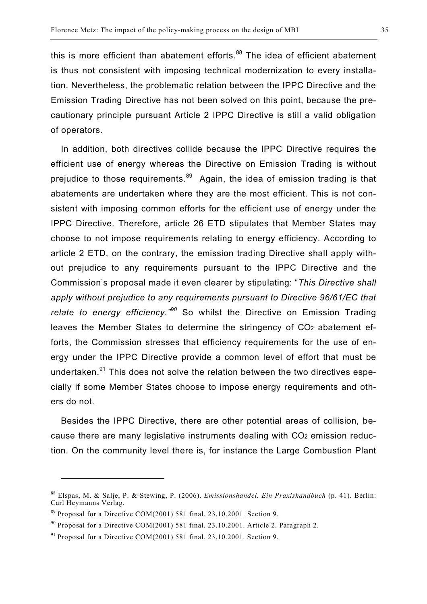this is more efficient than abatement efforts. $88$  The idea of efficient abatement is thus not consistent with imposing technical modernization to every installation. Nevertheless, the problematic relation between the IPPC Directive and the Emission Trading Directive has not been solved on this point, because the precautionary principle pursuant Article 2 IPPC Directive is still a valid obligation of operators.

In addition, both directives collide because the IPPC Directive requires the efficient use of energy whereas the Directive on Emission Trading is without prejudice to those requirements.<sup>89</sup> Again, the idea of emission trading is that abatements are undertaken where they are the most efficient. This is not consistent with imposing common efforts for the efficient use of energy under the IPPC Directive. Therefore, article 26 ETD stipulates that Member States may choose to not impose requirements relating to energy efficiency. According to article 2 ETD, on the contrary, the emission trading Directive shall apply without prejudice to any requirements pursuant to the IPPC Directive and the Commission's proposal made it even clearer by stipulating: "*This Directive shall apply without prejudice to any requirements pursuant to Directive 96/61/EC that relate to energy efficiency." <sup>90</sup>* So whilst the Directive on Emission Trading leaves the Member States to determine the stringency of CO2 abatement efforts, the Commission stresses that efficiency requirements for the use of energy under the IPPC Directive provide a common level of effort that must be undertaken.<sup>91</sup> This does not solve the relation between the two directives especially if some Member States choose to impose energy requirements and others do not.

Besides the IPPC Directive, there are other potential areas of collision, because there are many legislative instruments dealing with CO2 emission reduction. On the community level there is, for instance the Large Combustion Plant

<sup>88</sup> Elspas, M. & Salje, P. & Stewing, P. (2006). *Emissionshandel. Ein Praxishandbuch* (p. 41). Berlin: Carl Heymanns Verlag.

 $89$  Proposal for a Directive COM(2001) 581 final. 23.10.2001. Section 9.

<sup>90</sup> Proposal for a Directive COM(2001) 581 final. 23.10.2001. Article 2. Paragraph 2.

<sup>91</sup> Proposal for a Directive COM(2001) 581 final. 23.10.2001. Section 9.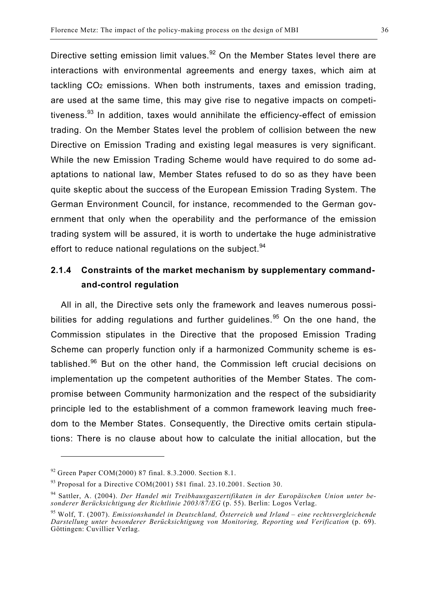Directive setting emission limit values.<sup>92</sup> On the Member States level there are interactions with environmental agreements and energy taxes, which aim at tackling CO2 emissions. When both instruments, taxes and emission trading, are used at the same time, this may give rise to negative impacts on competitiveness.<sup>93</sup> In addition, taxes would annihilate the efficiency-effect of emission trading. On the Member States level the problem of collision between the new Directive on Emission Trading and existing legal measures is very significant. While the new Emission Trading Scheme would have required to do some adaptations to national law, Member States refused to do so as they have been quite skeptic about the success of the European Emission Trading System. The German Environment Council, for instance, recommended to the German government that only when the operability and the performance of the emission trading system will be assured, it is worth to undertake the huge administrative effort to reduce national regulations on the subject.<sup>94</sup>

### **2.1.4 Constraints of the market mechanism by supplementary commandand-control regulation**

All in all, the Directive sets only the framework and leaves numerous possibilities for adding regulations and further guidelines.<sup>95</sup> On the one hand, the Commission stipulates in the Directive that the proposed Emission Trading Scheme can properly function only if a harmonized Community scheme is established.<sup>96</sup> But on the other hand, the Commission left crucial decisions on implementation up the competent authorities of the Member States. The compromise between Community harmonization and the respect of the subsidiarity principle led to the establishment of a common framework leaving much freedom to the Member States. Consequently, the Directive omits certain stipulations: There is no clause about how to calculate the initial allocation, but the

 $92$  Green Paper COM(2000) 87 final. 8.3.2000. Section 8.1.

 $93$  Proposal for a Directive COM(2001) 581 final. 23.10.2001. Section 30.

<sup>94</sup> Sattler, A. (2004). *Der Handel mit Treibhausgaszertifikaten in der Europäischen Union unter besonderer Berücksichtigung der Richtlinie 2003/87/EG* (p. 55). Berlin: Logos Verlag.

<sup>95</sup> Wolf, T. (2007). *Emissionshandel in Deutschland, Österreich und Irland – eine rechtsvergleichende Darstellung unter besonderer Berücksichtigung von Monitoring, Reporting und Verification* (p. 69). Göttingen: Cuvillier Verlag.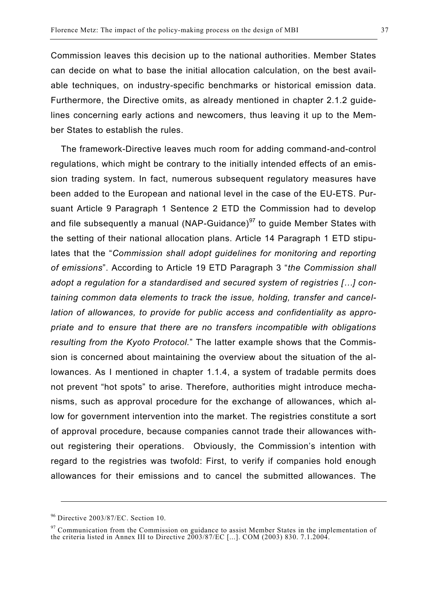Commission leaves this decision up to the national authorities. Member States can decide on what to base the initial allocation calculation, on the best available techniques, on industry-specific benchmarks or historical emission data. Furthermore, the Directive omits, as already mentioned in chapter 2.1.2 guidelines concerning early actions and newcomers, thus leaving it up to the Member States to establish the rules.

The framework-Directive leaves much room for adding command-and-control regulations, which might be contrary to the initially intended effects of an emission trading system. In fact, numerous subsequent regulatory measures have been added to the European and national level in the case of the EU-ETS. Pursuant Article 9 Paragraph 1 Sentence 2 ETD the Commission had to develop and file subsequently a manual (NAP-Guidance)<sup>97</sup> to quide Member States with the setting of their national allocation plans. Article 14 Paragraph 1 ETD stipulates that the "*Commission shall adopt guidelines for monitoring and reporting of emissions*". According to Article 19 ETD Paragraph 3 "*the Commission shall adopt a regulation for a standardised and secured system of registries […] containing common data elements to track the issue, holding, transfer and cancellation of allowances, to provide for public access and confidentiality as appropriate and to ensure that there are no transfers incompatible with obligations resulting from the Kyoto Protocol.*" The latter example shows that the Commission is concerned about maintaining the overview about the situation of the allowances. As I mentioned in chapter 1.1.4, a system of tradable permits does not prevent "hot spots" to arise. Therefore, authorities might introduce mechanisms, such as approval procedure for the exchange of allowances, which allow for government intervention into the market. The registries constitute a sort of approval procedure, because companies cannot trade their allowances without registering their operations. Obviously, the Commission's intention with regard to the registries was twofold: First, to verify if companies hold enough allowances for their emissions and to cancel the submitted allowances. The

1

<sup>96</sup> Directive 2003/87/EC. Section 10.

 $97$  Communication from the Commission on guidance to assist Member States in the implementation of the criteria listed in Annex III to Directive 2003/87/EC [...]. COM (2003) 830. 7.1.2004.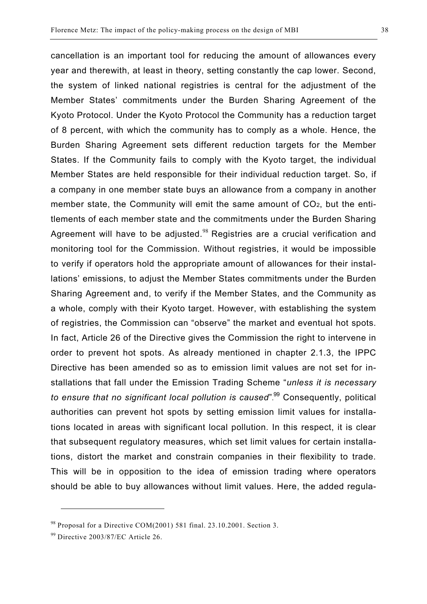cancellation is an important tool for reducing the amount of allowances every year and therewith, at least in theory, setting constantly the cap lower. Second, the system of linked national registries is central for the adjustment of the Member States' commitments under the Burden Sharing Agreement of the Kyoto Protocol. Under the Kyoto Protocol the Community has a reduction target of 8 percent, with which the community has to comply as a whole. Hence, the Burden Sharing Agreement sets different reduction targets for the Member States. If the Community fails to comply with the Kyoto target, the individual Member States are held responsible for their individual reduction target. So, if a company in one member state buys an allowance from a company in another member state, the Community will emit the same amount of CO<sub>2</sub>, but the entitlements of each member state and the commitments under the Burden Sharing Agreement will have to be adjusted.<sup>98</sup> Registries are a crucial verification and monitoring tool for the Commission. Without registries, it would be impossible to verify if operators hold the appropriate amount of allowances for their installations' emissions, to adjust the Member States commitments under the Burden Sharing Agreement and, to verify if the Member States, and the Community as a whole, comply with their Kyoto target. However, with establishing the system of registries, the Commission can "observe" the market and eventual hot spots. In fact, Article 26 of the Directive gives the Commission the right to intervene in order to prevent hot spots. As already mentioned in chapter 2.1.3, the IPPC Directive has been amended so as to emission limit values are not set for installations that fall under the Emission Trading Scheme "*unless it is necessary to ensure that no significant local pollution is caused*". 99 Consequently, political authorities can prevent hot spots by setting emission limit values for installations located in areas with significant local pollution. In this respect, it is clear that subsequent regulatory measures, which set limit values for certain installations, distort the market and constrain companies in their flexibility to trade. This will be in opposition to the idea of emission trading where operators should be able to buy allowances without limit values. Here, the added regula-

 $98$  Proposal for a Directive COM(2001) 581 final. 23.10.2001. Section 3.

<sup>99</sup> Directive 2003/87/EC Article 26.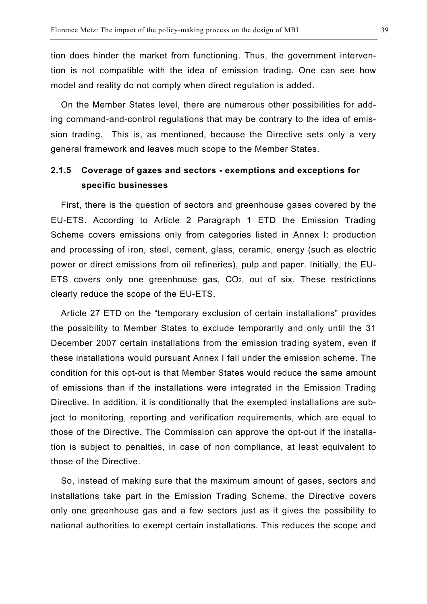tion does hinder the market from functioning. Thus, the government intervention is not compatible with the idea of emission trading. One can see how model and reality do not comply when direct regulation is added.

On the Member States level, there are numerous other possibilities for adding command-and-control regulations that may be contrary to the idea of emission trading. This is, as mentioned, because the Directive sets only a very general framework and leaves much scope to the Member States.

### **2.1.5 Coverage of gazes and sectors - exemptions and exceptions for specific businesses**

First, there is the question of sectors and greenhouse gases covered by the EU-ETS. According to Article 2 Paragraph 1 ETD the Emission Trading Scheme covers emissions only from categories listed in Annex I: production and processing of iron, steel, cement, glass, ceramic, energy (such as electric power or direct emissions from oil refineries), pulp and paper. Initially, the EU-ETS covers only one greenhouse gas, CO2, out of six. These restrictions clearly reduce the scope of the EU-ETS.

Article 27 ETD on the "temporary exclusion of certain installations" provides the possibility to Member States to exclude temporarily and only until the 31 December 2007 certain installations from the emission trading system, even if these installations would pursuant Annex I fall under the emission scheme. The condition for this opt-out is that Member States would reduce the same amount of emissions than if the installations were integrated in the Emission Trading Directive. In addition, it is conditionally that the exempted installations are subject to monitoring, reporting and verification requirements, which are equal to those of the Directive. The Commission can approve the opt-out if the installation is subject to penalties, in case of non compliance, at least equivalent to those of the Directive.

So, instead of making sure that the maximum amount of gases, sectors and installations take part in the Emission Trading Scheme, the Directive covers only one greenhouse gas and a few sectors just as it gives the possibility to national authorities to exempt certain installations. This reduces the scope and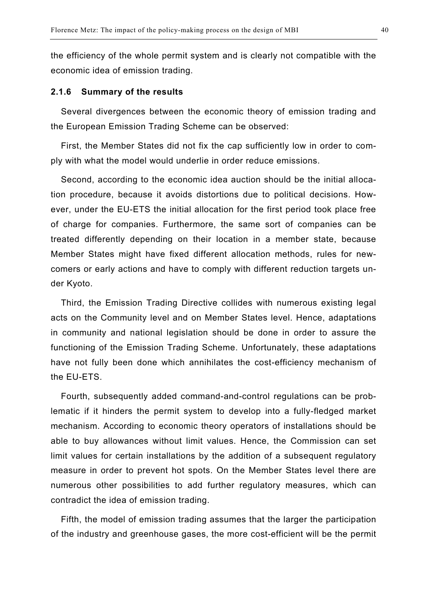the efficiency of the whole permit system and is clearly not compatible with the economic idea of emission trading.

#### **2.1.6 Summary of the results**

Several divergences between the economic theory of emission trading and the European Emission Trading Scheme can be observed:

First, the Member States did not fix the cap sufficiently low in order to comply with what the model would underlie in order reduce emissions.

Second, according to the economic idea auction should be the initial allocation procedure, because it avoids distortions due to political decisions. However, under the EU-ETS the initial allocation for the first period took place free of charge for companies. Furthermore, the same sort of companies can be treated differently depending on their location in a member state, because Member States might have fixed different allocation methods, rules for newcomers or early actions and have to comply with different reduction targets under Kyoto.

Third, the Emission Trading Directive collides with numerous existing legal acts on the Community level and on Member States level. Hence, adaptations in community and national legislation should be done in order to assure the functioning of the Emission Trading Scheme. Unfortunately, these adaptations have not fully been done which annihilates the cost-efficiency mechanism of the EU-ETS.

Fourth, subsequently added command-and-control regulations can be problematic if it hinders the permit system to develop into a fully-fledged market mechanism. According to economic theory operators of installations should be able to buy allowances without limit values. Hence, the Commission can set limit values for certain installations by the addition of a subsequent regulatory measure in order to prevent hot spots. On the Member States level there are numerous other possibilities to add further regulatory measures, which can contradict the idea of emission trading.

Fifth, the model of emission trading assumes that the larger the participation of the industry and greenhouse gases, the more cost-efficient will be the permit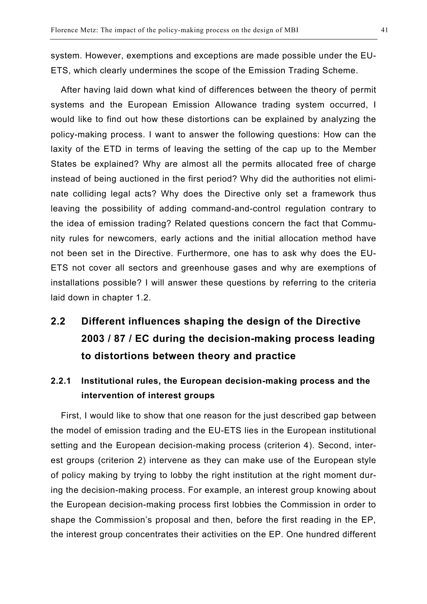system. However, exemptions and exceptions are made possible under the EU-ETS, which clearly undermines the scope of the Emission Trading Scheme.

After having laid down what kind of differences between the theory of permit systems and the European Emission Allowance trading system occurred, I would like to find out how these distortions can be explained by analyzing the policy-making process. I want to answer the following questions: How can the laxity of the ETD in terms of leaving the setting of the cap up to the Member States be explained? Why are almost all the permits allocated free of charge instead of being auctioned in the first period? Why did the authorities not eliminate colliding legal acts? Why does the Directive only set a framework thus leaving the possibility of adding command-and-control regulation contrary to the idea of emission trading? Related questions concern the fact that Community rules for newcomers, early actions and the initial allocation method have not been set in the Directive. Furthermore, one has to ask why does the EU-ETS not cover all sectors and greenhouse gases and why are exemptions of installations possible? I will answer these questions by referring to the criteria laid down in chapter 1.2.

## **2.2 Different influences shaping the design of the Directive 2003 / 87 / EC during the decision-making process leading to distortions between theory and practice**

## **2.2.1 Institutional rules, the European decision-making process and the intervention of interest groups**

First, I would like to show that one reason for the just described gap between the model of emission trading and the EU-ETS lies in the European institutional setting and the European decision-making process (criterion 4). Second, interest groups (criterion 2) intervene as they can make use of the European style of policy making by trying to lobby the right institution at the right moment during the decision-making process. For example, an interest group knowing about the European decision-making process first lobbies the Commission in order to shape the Commission's proposal and then, before the first reading in the EP, the interest group concentrates their activities on the EP. One hundred different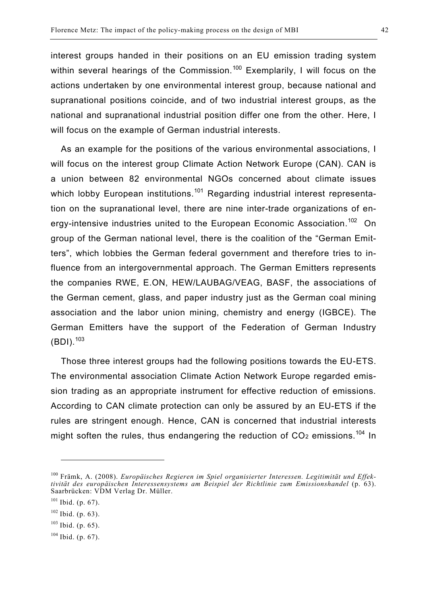interest groups handed in their positions on an EU emission trading system within several hearings of the Commission.<sup>100</sup> Exemplarily, I will focus on the actions undertaken by one environmental interest group, because national and supranational positions coincide, and of two industrial interest groups, as the national and supranational industrial position differ one from the other. Here, I will focus on the example of German industrial interests.

As an example for the positions of the various environmental associations, I will focus on the interest group Climate Action Network Europe (CAN). CAN is a union between 82 environmental NGOs concerned about climate issues which lobby European institutions.<sup>101</sup> Regarding industrial interest representation on the supranational level, there are nine inter-trade organizations of energy-intensive industries united to the European Economic Association.<sup>102</sup> On group of the German national level, there is the coalition of the "German Emitters", which lobbies the German federal government and therefore tries to influence from an intergovernmental approach. The German Emitters represents the companies RWE, E.ON, HEW/LAUBAG/VEAG, BASF, the associations of the German cement, glass, and paper industry just as the German coal mining association and the labor union mining, chemistry and energy (IGBCE). The German Emitters have the support of the Federation of German Industry  $(BDI)$ .  $103$ 

Those three interest groups had the following positions towards the EU-ETS. The environmental association Climate Action Network Europe regarded emission trading as an appropriate instrument for effective reduction of emissions. According to CAN climate protection can only be assured by an EU-ETS if the rules are stringent enough. Hence, CAN is concerned that industrial interests might soften the rules, thus endangering the reduction of  $CO<sub>2</sub>$  emissions.<sup>104</sup> In

<sup>100</sup> Främk, A. (2008). *Europäisches Regieren im Spiel organisierter Interessen. Legitimität und Effektivität des europäischen Interessensystems am Beispiel der Richtlinie zum Emissionshandel* (p. 63). Saarbrücken: VDM Verlag Dr. Müller.

 $101$  Ibid. (p. 67).

 $102$  Ibid. (p. 63).

 $103$  Ibid. (p. 65).

 $104$  Ibid. (p. 67).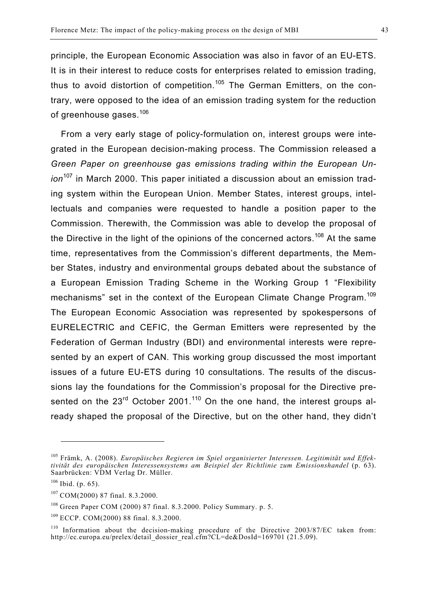principle, the European Economic Association was also in favor of an EU-ETS. It is in their interest to reduce costs for enterprises related to emission trading, thus to avoid distortion of competition.<sup>105</sup> The German Emitters, on the contrary, were opposed to the idea of an emission trading system for the reduction of greenhouse gases.<sup>106</sup>

From a very early stage of policy-formulation on, interest groups were integrated in the European decision-making process. The Commission released a *Green Paper on greenhouse gas emissions trading within the European Union*<sup>107</sup> in March 2000. This paper initiated a discussion about an emission trading system within the European Union. Member States, interest groups, intellectuals and companies were requested to handle a position paper to the Commission. Therewith, the Commission was able to develop the proposal of the Directive in the light of the opinions of the concerned actors.<sup>108</sup> At the same time, representatives from the Commission's different departments, the Member States, industry and environmental groups debated about the substance of a European Emission Trading Scheme in the Working Group 1 "Flexibility mechanisms" set in the context of the European Climate Change Program.<sup>109</sup> The European Economic Association was represented by spokespersons of EURELECTRIC and CEFIC, the German Emitters were represented by the Federation of German Industry (BDI) and environmental interests were represented by an expert of CAN. This working group discussed the most important issues of a future EU-ETS during 10 consultations. The results of the discussions lay the foundations for the Commission's proposal for the Directive presented on the  $23<sup>rd</sup>$  October 2001.<sup>110</sup> On the one hand, the interest groups already shaped the proposal of the Directive, but on the other hand, they didn't

 $\overline{a}$ 

<sup>105</sup> Främk, A. (2008). *Europäisches Regieren im Spiel organisierter Interessen. Legitimität und Effektivität des europäischen Interessensystems am Beispiel der Richtlinie zum Emissionshandel* (p. 63). Saarbrücken: VDM Verlag Dr. Müller.

 $106$  Ibid. (p. 65).

<sup>107</sup> COM(2000) 87 final. 8.3.2000.

 $108$  Green Paper COM (2000) 87 final. 8.3.2000. Policy Summary. p. 5.

<sup>109</sup> ECCP. COM(2000) 88 final. 8.3.2000.

 $110$  Information about the decision-making procedure of the Directive 2003/87/EC taken from: http://ec.europa.eu/prelex/detail\_dossier\_real.cfm?CL=de&DosId=169701 (21.5.09).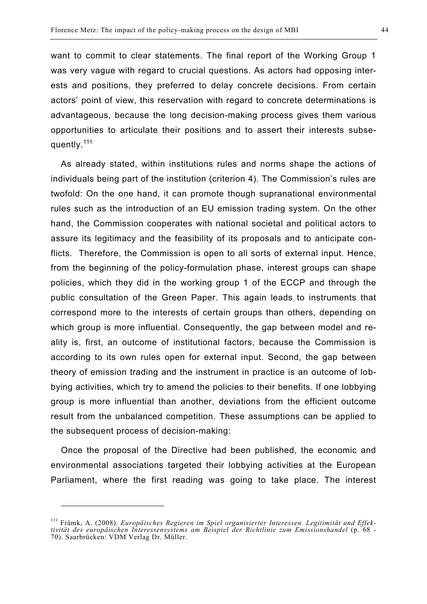want to commit to clear statements. The final report of the Working Group 1 was very vague with regard to crucial questions. As actors had opposing interests and positions, they preferred to delay concrete decisions. From certain actors' point of view, this reservation with regard to concrete determinations is advantageous, because the long decision-making process gives them various opportunities to articulate their positions and to assert their interests subsequently.<sup>111</sup>

As already stated, within institutions rules and norms shape the actions of individuals being part of the institution (criterion 4). The Commission's rules are twofold: On the one hand, it can promote though supranational environmental rules such as the introduction of an EU emission trading system. On the other hand, the Commission cooperates with national societal and political actors to assure its legitimacy and the feasibility of its proposals and to anticipate conflicts. Therefore, the Commission is open to all sorts of external input. Hence, from the beginning of the policy-formulation phase, interest groups can shape policies, which they did in the working group 1 of the ECCP and through the public consultation of the Green Paper. This again leads to instruments that correspond more to the interests of certain groups than others, depending on which group is more influential. Consequently, the gap between model and reality is, first, an outcome of institutional factors, because the Commission is according to its own rules open for external input. Second, the gap between theory of emission trading and the instrument in practice is an outcome of lobbying activities, which try to amend the policies to their benefits. If one lobbying group is more influential than another, deviations from the efficient outcome result from the unbalanced competition. These assumptions can be applied to the subsequent process of decision-making:

Once the proposal of the Directive had been published, the economic and environmental associations targeted their lobbying activities at the European Parliament, where the first reading was going to take place. The interest

<sup>111</sup> Främk, A. (2008). *Europäisches Regieren im Spiel organisierter Interessen. Legitimität und Effektivität des europäischen Interessensystems am Beispiel der Richtlinie zum Emissionshandel* (p. 68 - 70). Saarbrücken: VDM Verlag Dr. Müller.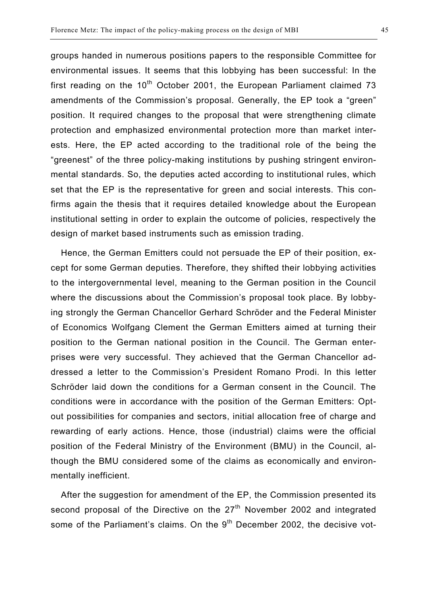groups handed in numerous positions papers to the responsible Committee for environmental issues. It seems that this lobbying has been successful: In the first reading on the  $10<sup>th</sup>$  October 2001, the European Parliament claimed 73 amendments of the Commission's proposal. Generally, the EP took a "green" position. It required changes to the proposal that were strengthening climate protection and emphasized environmental protection more than market interests. Here, the EP acted according to the traditional role of the being the "greenest" of the three policy-making institutions by pushing stringent environmental standards. So, the deputies acted according to institutional rules, which set that the EP is the representative for green and social interests. This confirms again the thesis that it requires detailed knowledge about the European institutional setting in order to explain the outcome of policies, respectively the design of market based instruments such as emission trading.

Hence, the German Emitters could not persuade the EP of their position, except for some German deputies. Therefore, they shifted their lobbying activities to the intergovernmental level, meaning to the German position in the Council where the discussions about the Commission's proposal took place. By lobbying strongly the German Chancellor Gerhard Schröder and the Federal Minister of Economics Wolfgang Clement the German Emitters aimed at turning their position to the German national position in the Council. The German enterprises were very successful. They achieved that the German Chancellor addressed a letter to the Commission's President Romano Prodi. In this letter Schröder laid down the conditions for a German consent in the Council. The conditions were in accordance with the position of the German Emitters: Optout possibilities for companies and sectors, initial allocation free of charge and rewarding of early actions. Hence, those (industrial) claims were the official position of the Federal Ministry of the Environment (BMU) in the Council, although the BMU considered some of the claims as economically and environmentally inefficient.

After the suggestion for amendment of the EP, the Commission presented its second proposal of the Directive on the  $27<sup>th</sup>$  November 2002 and integrated some of the Parliament's claims. On the 9<sup>th</sup> December 2002, the decisive vot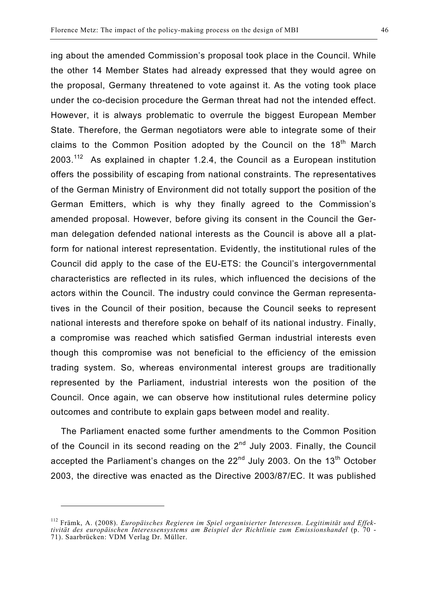ing about the amended Commission's proposal took place in the Council. While the other 14 Member States had already expressed that they would agree on the proposal, Germany threatened to vote against it. As the voting took place under the co-decision procedure the German threat had not the intended effect. However, it is always problematic to overrule the biggest European Member State. Therefore, the German negotiators were able to integrate some of their claims to the Common Position adopted by the Council on the 18<sup>th</sup> March  $2003$ <sup>112</sup> As explained in chapter 1.2.4, the Council as a European institution offers the possibility of escaping from national constraints. The representatives of the German Ministry of Environment did not totally support the position of the German Emitters, which is why they finally agreed to the Commission's amended proposal. However, before giving its consent in the Council the German delegation defended national interests as the Council is above all a platform for national interest representation. Evidently, the institutional rules of the Council did apply to the case of the EU-ETS: the Council's intergovernmental characteristics are reflected in its rules, which influenced the decisions of the actors within the Council. The industry could convince the German representatives in the Council of their position, because the Council seeks to represent national interests and therefore spoke on behalf of its national industry. Finally, a compromise was reached which satisfied German industrial interests even though this compromise was not beneficial to the efficiency of the emission trading system. So, whereas environmental interest groups are traditionally represented by the Parliament, industrial interests won the position of the Council. Once again, we can observe how institutional rules determine policy outcomes and contribute to explain gaps between model and reality.

The Parliament enacted some further amendments to the Common Position of the Council in its second reading on the 2<sup>nd</sup> July 2003. Finally, the Council accepted the Parliament's changes on the  $22<sup>nd</sup>$  July 2003. On the 13<sup>th</sup> October 2003, the directive was enacted as the Directive 2003/87/EC. It was published

<sup>112</sup> Främk, A. (2008). *Europäisches Regieren im Spiel organisierter Interessen. Legitimität und Effektivität des europäischen Interessensystems am Beispiel der Richtlinie zum Emissionshandel* (p. 70 - 71). Saarbrücken: VDM Verlag Dr. Müller.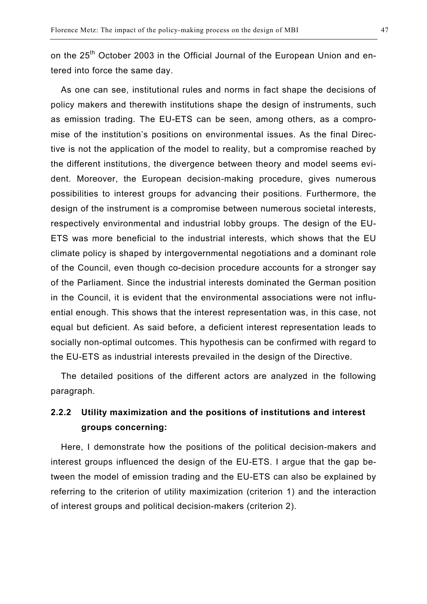on the 25<sup>th</sup> October 2003 in the Official Journal of the European Union and entered into force the same day.

As one can see, institutional rules and norms in fact shape the decisions of policy makers and therewith institutions shape the design of instruments, such as emission trading. The EU-ETS can be seen, among others, as a compromise of the institution's positions on environmental issues. As the final Directive is not the application of the model to reality, but a compromise reached by the different institutions, the divergence between theory and model seems evident. Moreover, the European decision-making procedure, gives numerous possibilities to interest groups for advancing their positions. Furthermore, the design of the instrument is a compromise between numerous societal interests, respectively environmental and industrial lobby groups. The design of the EU-ETS was more beneficial to the industrial interests, which shows that the EU climate policy is shaped by intergovernmental negotiations and a dominant role of the Council, even though co-decision procedure accounts for a stronger say of the Parliament. Since the industrial interests dominated the German position in the Council, it is evident that the environmental associations were not influential enough. This shows that the interest representation was, in this case, not equal but deficient. As said before, a deficient interest representation leads to socially non-optimal outcomes. This hypothesis can be confirmed with regard to the EU-ETS as industrial interests prevailed in the design of the Directive.

The detailed positions of the different actors are analyzed in the following paragraph.

## **2.2.2 Utility maximization and the positions of institutions and interest groups concerning:**

Here, I demonstrate how the positions of the political decision-makers and interest groups influenced the design of the EU-ETS. I argue that the gap between the model of emission trading and the EU-ETS can also be explained by referring to the criterion of utility maximization (criterion 1) and the interaction of interest groups and political decision-makers (criterion 2).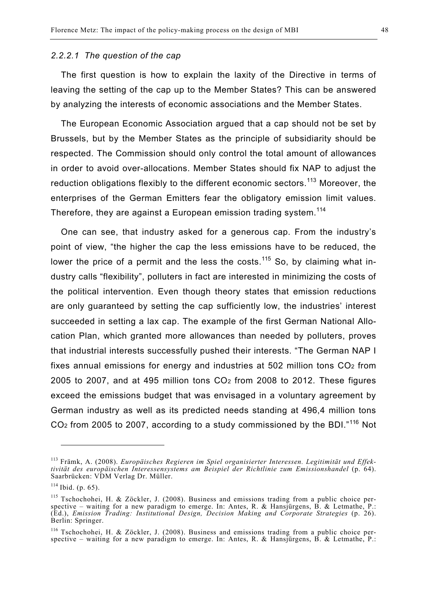#### *2.2.2.1 The question of the cap*

The first question is how to explain the laxity of the Directive in terms of leaving the setting of the cap up to the Member States? This can be answered by analyzing the interests of economic associations and the Member States.

The European Economic Association argued that a cap should not be set by Brussels, but by the Member States as the principle of subsidiarity should be respected. The Commission should only control the total amount of allowances in order to avoid over-allocations. Member States should fix NAP to adjust the reduction obligations flexibly to the different economic sectors.<sup>113</sup> Moreover, the enterprises of the German Emitters fear the obligatory emission limit values. Therefore, they are against a European emission trading system.<sup>114</sup>

One can see, that industry asked for a generous cap. From the industry's point of view, "the higher the cap the less emissions have to be reduced, the lower the price of a permit and the less the costs.<sup>115</sup> So, by claiming what industry calls "flexibility", polluters in fact are interested in minimizing the costs of the political intervention. Even though theory states that emission reductions are only guaranteed by setting the cap sufficiently low, the industries' interest succeeded in setting a lax cap. The example of the first German National Allocation Plan, which granted more allowances than needed by polluters, proves that industrial interests successfully pushed their interests. "The German NAP I fixes annual emissions for energy and industries at 502 million tons CO2 from 2005 to 2007, and at 495 million tons CO2 from 2008 to 2012. These figures exceed the emissions budget that was envisaged in a voluntary agreement by German industry as well as its predicted needs standing at 496,4 million tons  $CO<sub>2</sub>$  from 2005 to 2007, according to a study commissioned by the BDI."<sup>116</sup> Not

<sup>113</sup> Främk, A. (2008). *Europäisches Regieren im Spiel organisierter Interessen. Legitimität und Effektivität des europäischen Interessensystems am Beispiel der Richtlinie zum Emissionshandel* (p. 64). Saarbrücken: VDM Verlag Dr. Müller.

 $114$  Ibid. (p. 65).

<sup>&</sup>lt;sup>115</sup> Tschochohei, H. & Zöckler, J. (2008). Business and emissions trading from a public choice perspective – waiting for a new paradigm to emerge. In: Antes, R. & Hansjürgens, B. & Letmathe, P.: (Ed.), *Emission Trading: Institutional Design, Decision Making and Corporate Strategies* (p. 26). Berlin: Springer.

<sup>116</sup> Tschochohei, H. & Zöckler, J. (2008). Business and emissions trading from a public choice perspective – waiting for a new paradigm to emerge. In: Antes, R. & Hansjürgens, B. & Letmathe, P.: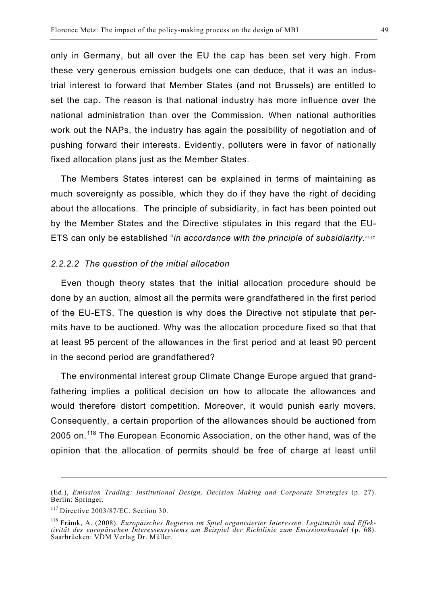only in Germany, but all over the EU the cap has been set very high. From these very generous emission budgets one can deduce, that it was an industrial interest to forward that Member States (and not Brussels) are entitled to set the cap. The reason is that national industry has more influence over the national administration than over the Commission. When national authorities work out the NAPs, the industry has again the possibility of negotiation and of pushing forward their interests. Evidently, polluters were in favor of nationally fixed allocation plans just as the Member States.

The Members States interest can be explained in terms of maintaining as much sovereignty as possible, which they do if they have the right of deciding about the allocations. The principle of subsidiarity, in fact has been pointed out by the Member States and the Directive stipulates in this regard that the EU-ETS can only be established "*in accordance with the principle of subsidiarity.*"117

#### *2.2.2.2 The question of the initial allocation*

Even though theory states that the initial allocation procedure should be done by an auction, almost all the permits were grandfathered in the first period of the EU-ETS. The question is why does the Directive not stipulate that permits have to be auctioned. Why was the allocation procedure fixed so that that at least 95 percent of the allowances in the first period and at least 90 percent in the second period are grandfathered?

The environmental interest group Climate Change Europe argued that grandfathering implies a political decision on how to allocate the allowances and would therefore distort competition. Moreover, it would punish early movers. Consequently, a certain proportion of the allowances should be auctioned from 2005 on.<sup>118</sup> The European Economic Association, on the other hand, was of the opinion that the allocation of permits should be free of charge at least until

1

<sup>(</sup>Ed.), *Emission Trading: Institutional Design, Decision Making and Corporate Strategies* (p. 27). Berlin: Springer.

<sup>&</sup>lt;sup>117</sup> Directive 2003/87/EC. Section 30.

<sup>118</sup> Främk, A. (2008). *Europäisches Regieren im Spiel organisierter Interessen. Legitimität und Effektivität des europäischen Interessensystems am Beispiel der Richtlinie zum Emissionshandel* (p. 68). Saarbrücken: VDM Verlag Dr. Müller.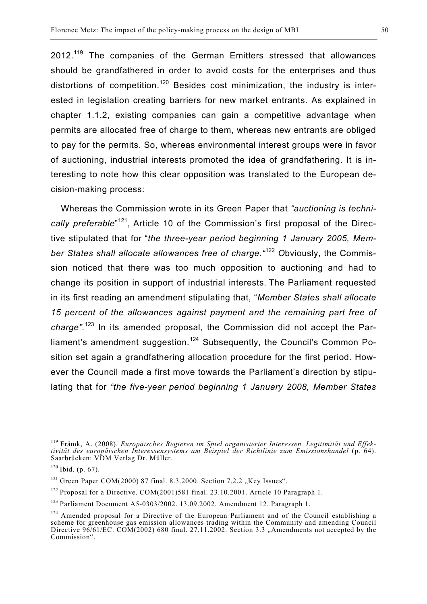2012.<sup>119</sup> The companies of the German Emitters stressed that allowances should be grandfathered in order to avoid costs for the enterprises and thus distortions of competition.<sup>120</sup> Besides cost minimization, the industry is interested in legislation creating barriers for new market entrants. As explained in chapter 1.1.2, existing companies can gain a competitive advantage when permits are allocated free of charge to them, whereas new entrants are obliged to pay for the permits. So, whereas environmental interest groups were in favor of auctioning, industrial interests promoted the idea of grandfathering. It is interesting to note how this clear opposition was translated to the European decision-making process:

Whereas the Commission wrote in its Green Paper that *"auctioning is techni*cally preferable<sup>"121</sup>, Article 10 of the Commission's first proposal of the Directive stipulated that for "*the three-year period beginning 1 January 2005, Member States shall allocate allowances free of charge."*<sup>122</sup> *O*bviously, the Commission noticed that there was too much opposition to auctioning and had to change its position in support of industrial interests. The Parliament requested in its first reading an amendment stipulating that, "*Member States shall allocate 15 percent of the allowances against payment and the remaining part free of charge".*<sup>123</sup> In its amended proposal, the Commission did not accept the Parliament's amendment suggestion.<sup>124</sup> Subsequently, the Council's Common Position set again a grandfathering allocation procedure for the first period. However the Council made a first move towards the Parliament's direction by stipulating that for *"the five-year period beginning 1 January 2008, Member States* 

<sup>119</sup> Främk, A. (2008). *Europäisches Regieren im Spiel organisierter Interessen. Legitimität und Effektivität des europäischen Interessensystems am Beispiel der Richtlinie zum Emissionshandel* (p. 64). Saarbrücken: VDM Verlag Dr. Müller.

 $120$  Ibid. (p. 67).

 $121$  Green Paper COM(2000) 87 final. 8.3.2000. Section 7.2.2 "Key Issues".

<sup>&</sup>lt;sup>122</sup> Proposal for a Directive. COM(2001)581 final. 23.10.2001. Article 10 Paragraph 1.

<sup>123</sup> Parliament Document A5-0303/2002. 13.09.2002. Amendment 12. Paragraph 1.

 $124$  Amended proposal for a Directive of the European Parliament and of the Council establishing a scheme for greenhouse gas emission allowances trading within the Community and amending Council Directive 96/61/EC. COM(2002) 680 final. 27.11.2002. Section 3.3 "Amendments not accepted by the Commission".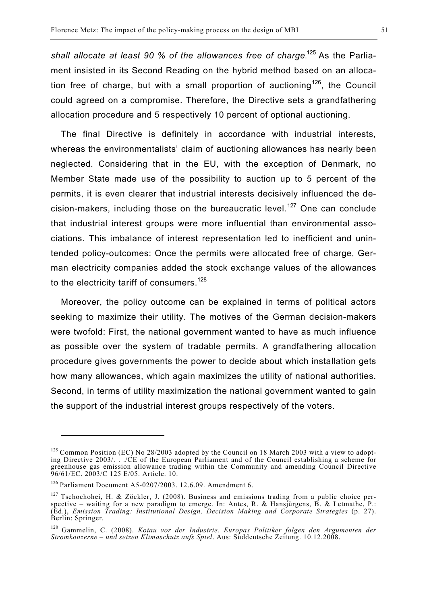*shall allocate at least 90 % of the allowances free of charge*. <sup>125</sup> As the Parliament insisted in its Second Reading on the hybrid method based on an allocation free of charge, but with a small proportion of auctioning<sup>126</sup>, the Council could agreed on a compromise. Therefore, the Directive sets a grandfathering allocation procedure and 5 respectively 10 percent of optional auctioning.

The final Directive is definitely in accordance with industrial interests, whereas the environmentalists' claim of auctioning allowances has nearly been neglected. Considering that in the EU, with the exception of Denmark, no Member State made use of the possibility to auction up to 5 percent of the permits, it is even clearer that industrial interests decisively influenced the decision-makers, including those on the bureaucratic level.<sup>127</sup> One can conclude that industrial interest groups were more influential than environmental associations. This imbalance of interest representation led to inefficient and unintended policy-outcomes: Once the permits were allocated free of charge, German electricity companies added the stock exchange values of the allowances to the electricity tariff of consumers.<sup>128</sup>

Moreover, the policy outcome can be explained in terms of political actors seeking to maximize their utility. The motives of the German decision-makers were twofold: First, the national government wanted to have as much influence as possible over the system of tradable permits. A grandfathering allocation procedure gives governments the power to decide about which installation gets how many allowances, which again maximizes the utility of national authorities. Second, in terms of utility maximization the national government wanted to gain the support of the industrial interest groups respectively of the voters.

<sup>&</sup>lt;sup>125</sup> Common Position (EC) No 28/2003 adopted by the Council on 18 March 2003 with a view to adopting Directive 2003/. . ./CE of the European Parliament and of the Council establishing a scheme for greenhouse gas emission allowance trading within the Community and amending Council Directive 96/61/EC. 2003/C 125 E/05. Article. 10.

<sup>126</sup> Parliament Document A5-0207/2003. 12.6.09. Amendment 6.

 $127$  Tschochohei, H. & Zöckler, J. (2008). Business and emissions trading from a public choice perspective – waiting for a new paradigm to emerge. In: Antes, R. & Hansjürgens, B. & Letmathe, P.: (Ed.), *Emission Trading: Institutional Design, Decision Making and Corporate Strategies* (p. 27). Berlin: Springer.

<sup>128</sup> Gammelin, C. (2008). *Kotau vor der Industrie. Europas Politiker folgen den Argumenten der Stromkonzerne – und setzen Klimaschutz aufs Spiel*. Aus: Süddeutsche Zeitung. 10.12.2008.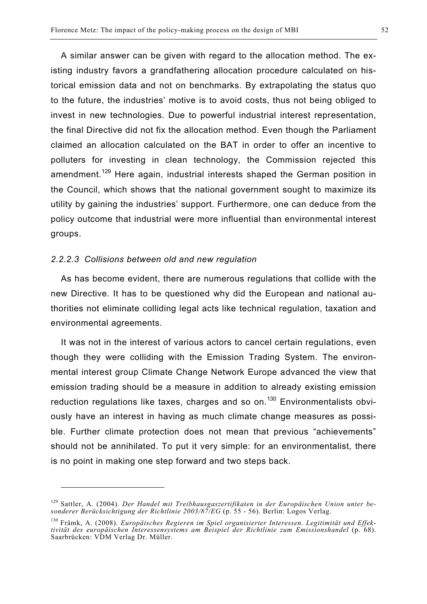A similar answer can be given with regard to the allocation method. The existing industry favors a grandfathering allocation procedure calculated on historical emission data and not on benchmarks. By extrapolating the status quo to the future, the industries' motive is to avoid costs, thus not being obliged to invest in new technologies. Due to powerful industrial interest representation, the final Directive did not fix the allocation method. Even though the Parliament claimed an allocation calculated on the BAT in order to offer an incentive to polluters for investing in clean technology, the Commission rejected this amendment.<sup>129</sup> Here again, industrial interests shaped the German position in the Council, which shows that the national government sought to maximize its utility by gaining the industries' support. Furthermore, one can deduce from the policy outcome that industrial were more influential than environmental interest groups.

#### *2.2.2.3 Collisions between old and new regulation*

l

As has become evident, there are numerous regulations that collide with the new Directive. It has to be questioned why did the European and national authorities not eliminate colliding legal acts like technical regulation, taxation and environmental agreements.

It was not in the interest of various actors to cancel certain regulations, even though they were colliding with the Emission Trading System. The environmental interest group Climate Change Network Europe advanced the view that emission trading should be a measure in addition to already existing emission reduction regulations like taxes, charges and so on.<sup>130</sup> Environmentalists obviously have an interest in having as much climate change measures as possible. Further climate protection does not mean that previous "achievements" should not be annihilated. To put it very simple: for an environmentalist, there is no point in making one step forward and two steps back.

<sup>129</sup> Sattler, A. (2004). *Der Handel mit Treibhausgaszertifikaten in der Europäischen Union unter besonderer Berücksichtigung der Richtlinie 2003/87/EG* (p. 55 - 56). Berlin: Logos Verlag.

<sup>130</sup> Främk, A. (2008). *Europäisches Regieren im Spiel organisierter Interessen. Legitimität und Effektivität des europäischen Interessensystems am Beispiel der Richtlinie zum Emissionshandel* (p. 68). Saarbrücken: VDM Verlag Dr. Müller.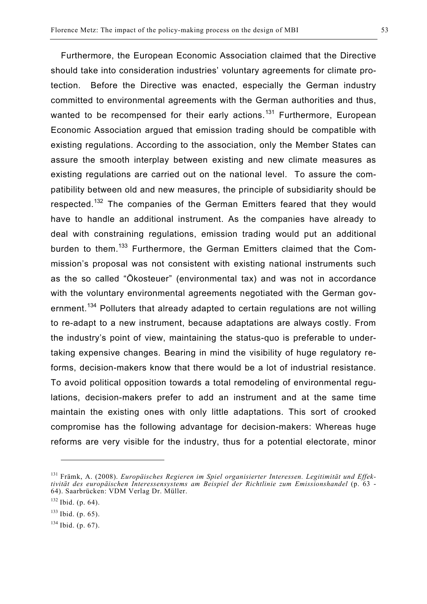Furthermore, the European Economic Association claimed that the Directive should take into consideration industries' voluntary agreements for climate protection. Before the Directive was enacted, especially the German industry committed to environmental agreements with the German authorities and thus, wanted to be recompensed for their early actions.<sup>131</sup> Furthermore, European Economic Association argued that emission trading should be compatible with existing regulations. According to the association, only the Member States can assure the smooth interplay between existing and new climate measures as existing regulations are carried out on the national level. To assure the compatibility between old and new measures, the principle of subsidiarity should be respected.<sup>132</sup> The companies of the German Emitters feared that they would have to handle an additional instrument. As the companies have already to deal with constraining regulations, emission trading would put an additional burden to them.<sup>133</sup> Furthermore, the German Emitters claimed that the Commission's proposal was not consistent with existing national instruments such as the so called "Ökosteuer" (environmental tax) and was not in accordance with the voluntary environmental agreements negotiated with the German government.<sup>134</sup> Polluters that already adapted to certain regulations are not willing to re-adapt to a new instrument, because adaptations are always costly. From the industry's point of view, maintaining the status-quo is preferable to undertaking expensive changes. Bearing in mind the visibility of huge regulatory reforms, decision-makers know that there would be a lot of industrial resistance. To avoid political opposition towards a total remodeling of environmental regulations, decision-makers prefer to add an instrument and at the same time maintain the existing ones with only little adaptations. This sort of crooked compromise has the following advantage for decision-makers: Whereas huge reforms are very visible for the industry, thus for a potential electorate, minor

<sup>131</sup> Främk, A. (2008). *Europäisches Regieren im Spiel organisierter Interessen. Legitimität und Effektivität des europäischen Interessensystems am Beispiel der Richtlinie zum Emissionshandel* (p. 63 - 64). Saarbrücken: VDM Verlag Dr. Müller.

 $132$  Ibid. (p. 64).

 $133$  Ibid. (p. 65).

 $134$  Ibid. (p. 67).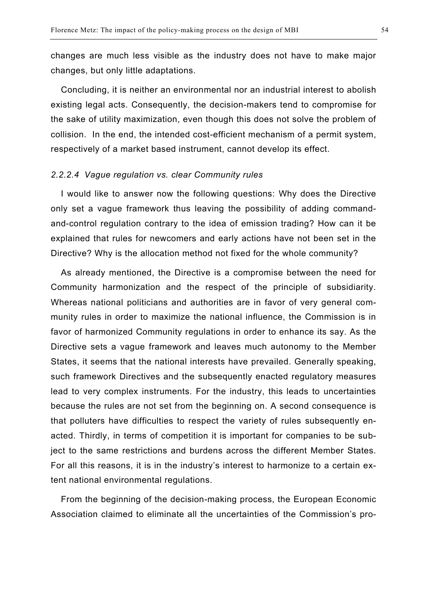changes are much less visible as the industry does not have to make major changes, but only little adaptations.

Concluding, it is neither an environmental nor an industrial interest to abolish existing legal acts. Consequently, the decision-makers tend to compromise for the sake of utility maximization, even though this does not solve the problem of collision. In the end, the intended cost-efficient mechanism of a permit system, respectively of a market based instrument, cannot develop its effect.

#### *2.2.2.4 Vague regulation vs. clear Community rules*

I would like to answer now the following questions: Why does the Directive only set a vague framework thus leaving the possibility of adding commandand-control regulation contrary to the idea of emission trading? How can it be explained that rules for newcomers and early actions have not been set in the Directive? Why is the allocation method not fixed for the whole community?

As already mentioned, the Directive is a compromise between the need for Community harmonization and the respect of the principle of subsidiarity. Whereas national politicians and authorities are in favor of very general community rules in order to maximize the national influence, the Commission is in favor of harmonized Community regulations in order to enhance its say. As the Directive sets a vague framework and leaves much autonomy to the Member States, it seems that the national interests have prevailed. Generally speaking, such framework Directives and the subsequently enacted regulatory measures lead to very complex instruments. For the industry, this leads to uncertainties because the rules are not set from the beginning on. A second consequence is that polluters have difficulties to respect the variety of rules subsequently enacted. Thirdly, in terms of competition it is important for companies to be subject to the same restrictions and burdens across the different Member States. For all this reasons, it is in the industry's interest to harmonize to a certain extent national environmental regulations.

From the beginning of the decision-making process, the European Economic Association claimed to eliminate all the uncertainties of the Commission's pro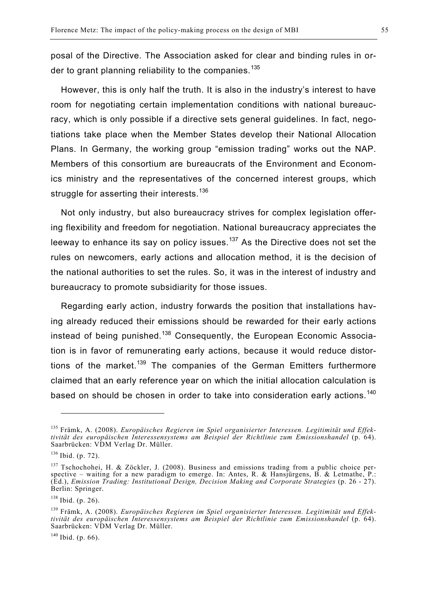posal of the Directive. The Association asked for clear and binding rules in order to grant planning reliability to the companies.<sup>135</sup>

However, this is only half the truth. It is also in the industry's interest to have room for negotiating certain implementation conditions with national bureaucracy, which is only possible if a directive sets general guidelines. In fact, negotiations take place when the Member States develop their National Allocation Plans. In Germany, the working group "emission trading" works out the NAP. Members of this consortium are bureaucrats of the Environment and Economics ministry and the representatives of the concerned interest groups, which struggle for asserting their interests.<sup>136</sup>

Not only industry, but also bureaucracy strives for complex legislation offering flexibility and freedom for negotiation. National bureaucracy appreciates the leeway to enhance its say on policy issues.<sup>137</sup> As the Directive does not set the rules on newcomers, early actions and allocation method, it is the decision of the national authorities to set the rules. So, it was in the interest of industry and bureaucracy to promote subsidiarity for those issues.

Regarding early action, industry forwards the position that installations having already reduced their emissions should be rewarded for their early actions instead of being punished.<sup>138</sup> Consequently, the European Economic Association is in favor of remunerating early actions, because it would reduce distortions of the market.<sup>139</sup> The companies of the German Emitters furthermore claimed that an early reference year on which the initial allocation calculation is based on should be chosen in order to take into consideration early actions.<sup>140</sup>

 $\overline{a}$ 

<sup>135</sup> Främk, A. (2008). *Europäisches Regieren im Spiel organisierter Interessen. Legitimität und Effektivität des europäischen Interessensystems am Beispiel der Richtlinie zum Emissionshandel* (p. 64). Saarbrücken: VDM Verlag Dr. Müller.

 $136$  Ibid. (p. 72).

<sup>&</sup>lt;sup>137</sup> Tschochohei, H. & Zöckler, J. (2008). Business and emissions trading from a public choice perspective – waiting for a new paradigm to emerge. In: Antes, R. & Hansjürgens, B. & Letmathe, P.: (Ed.), *Emission Trading: Institutional Design, Decision Making and Corporate Strategies* (p. 26 - 27). Berlin: Springer.

<sup>138</sup> Ibid. (p. 26).

<sup>139</sup> Främk, A. (2008). *Europäisches Regieren im Spiel organisierter Interessen. Legitimität und Effektivität des europäischen Interessensystems am Beispiel der Richtlinie zum Emissionshandel* (p. 64). Saarbrücken: VDM Verlag Dr. Müller.

<sup>&</sup>lt;sup>140</sup> Ibid. (p. 66).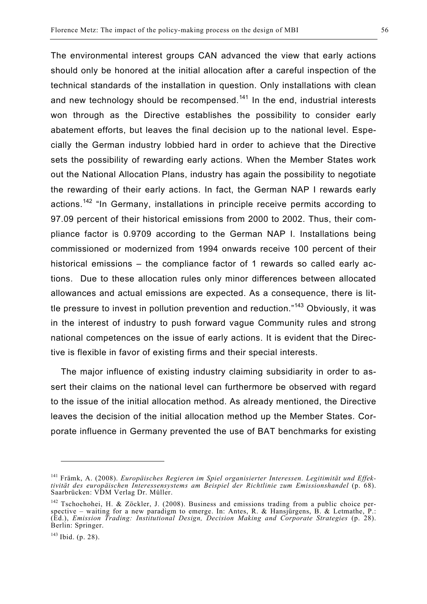The environmental interest groups CAN advanced the view that early actions should only be honored at the initial allocation after a careful inspection of the technical standards of the installation in question. Only installations with clean and new technology should be recompensed.<sup>141</sup> In the end, industrial interests won through as the Directive establishes the possibility to consider early abatement efforts, but leaves the final decision up to the national level. Especially the German industry lobbied hard in order to achieve that the Directive sets the possibility of rewarding early actions. When the Member States work out the National Allocation Plans, industry has again the possibility to negotiate the rewarding of their early actions. In fact, the German NAP I rewards early actions.<sup>142</sup> "In Germany, installations in principle receive permits according to 97.09 percent of their historical emissions from 2000 to 2002. Thus, their compliance factor is 0.9709 according to the German NAP I. Installations being commissioned or modernized from 1994 onwards receive 100 percent of their historical emissions – the compliance factor of 1 rewards so called early actions. Due to these allocation rules only minor differences between allocated allowances and actual emissions are expected. As a consequence, there is lit-

tle pressure to invest in pollution prevention and reduction."<sup>143</sup> Obviously, it was in the interest of industry to push forward vague Community rules and strong national competences on the issue of early actions. It is evident that the Directive is flexible in favor of existing firms and their special interests.

The major influence of existing industry claiming subsidiarity in order to assert their claims on the national level can furthermore be observed with regard to the issue of the initial allocation method. As already mentioned, the Directive leaves the decision of the initial allocation method up the Member States. Corporate influence in Germany prevented the use of BAT benchmarks for existing

<sup>141</sup> Främk, A. (2008). *Europäisches Regieren im Spiel organisierter Interessen. Legitimität und Effektivität des europäischen Interessensystems am Beispiel der Richtlinie zum Emissionshandel* (p. 68). Saarbrücken: VDM Verlag Dr. Müller.

<sup>&</sup>lt;sup>142</sup> Tschochohei, H. & Zöckler, J. (2008). Business and emissions trading from a public choice perspective – waiting for a new paradigm to emerge. In: Antes, R. & Hansjürgens, B. & Letmathe, P.: (Ed.), *Emission Trading: Institutional Design, Decision Making and Corporate Strategies* (p. 28). Berlin: Springer.

<sup>143</sup> Ibid. (p. 28).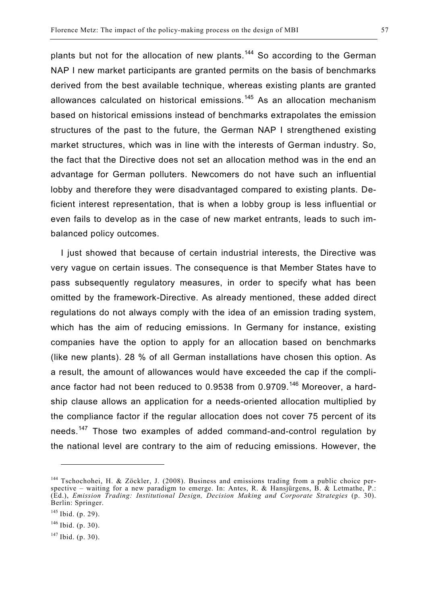plants but not for the allocation of new plants.<sup>144</sup> So according to the German NAP I new market participants are granted permits on the basis of benchmarks derived from the best available technique, whereas existing plants are granted allowances calculated on historical emissions.<sup>145</sup> As an allocation mechanism based on historical emissions instead of benchmarks extrapolates the emission structures of the past to the future, the German NAP I strengthened existing market structures, which was in line with the interests of German industry. So, the fact that the Directive does not set an allocation method was in the end an advantage for German polluters. Newcomers do not have such an influential lobby and therefore they were disadvantaged compared to existing plants. Deficient interest representation, that is when a lobby group is less influential or even fails to develop as in the case of new market entrants, leads to such imbalanced policy outcomes.

I just showed that because of certain industrial interests, the Directive was very vague on certain issues. The consequence is that Member States have to pass subsequently regulatory measures, in order to specify what has been omitted by the framework-Directive. As already mentioned, these added direct regulations do not always comply with the idea of an emission trading system, which has the aim of reducing emissions. In Germany for instance, existing companies have the option to apply for an allocation based on benchmarks (like new plants). 28 % of all German installations have chosen this option. As a result, the amount of allowances would have exceeded the cap if the compliance factor had not been reduced to 0.9538 from 0.9709.<sup>146</sup> Moreover, a hardship clause allows an application for a needs-oriented allocation multiplied by the compliance factor if the regular allocation does not cover 75 percent of its needs.<sup>147</sup> Those two examples of added command-and-control regulation by the national level are contrary to the aim of reducing emissions. However, the

<sup>&</sup>lt;sup>144</sup> Tschochohei, H. & Zöckler, J. (2008). Business and emissions trading from a public choice perspective – waiting for a new paradigm to emerge. In: Antes, R. & Hansjürgens, B. & Letmathe, P.: (Ed.), *Emission Trading: Institutional Design, Decision Making and Corporate Strategies* (p. 30). Berlin: Springer.

<sup>145</sup> Ibid. (p. 29).

 $146$  Ibid. (p. 30).

 $147$  Ibid. (p. 30).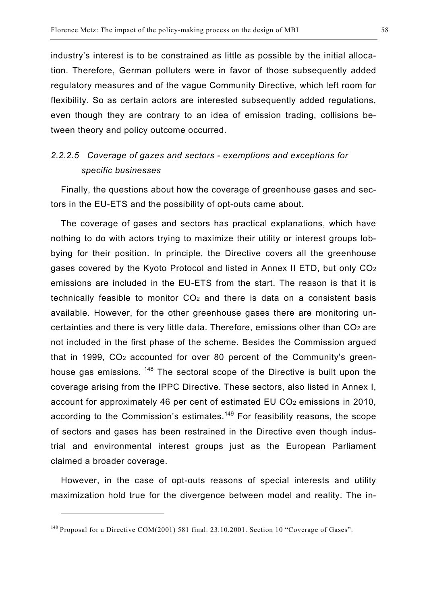industry's interest is to be constrained as little as possible by the initial allocation. Therefore, German polluters were in favor of those subsequently added regulatory measures and of the vague Community Directive, which left room for flexibility. So as certain actors are interested subsequently added regulations, even though they are contrary to an idea of emission trading, collisions between theory and policy outcome occurred.

## *2.2.2.5 Coverage of gazes and sectors - exemptions and exceptions for specific businesses*

Finally, the questions about how the coverage of greenhouse gases and sectors in the EU-ETS and the possibility of opt-outs came about.

The coverage of gases and sectors has practical explanations, which have nothing to do with actors trying to maximize their utility or interest groups lobbying for their position. In principle, the Directive covers all the greenhouse gases covered by the Kyoto Protocol and listed in Annex II ETD, but only CO2 emissions are included in the EU-ETS from the start. The reason is that it is technically feasible to monitor CO2 and there is data on a consistent basis available. However, for the other greenhouse gases there are monitoring uncertainties and there is very little data. Therefore, emissions other than CO2 are not included in the first phase of the scheme. Besides the Commission argued that in 1999, CO2 accounted for over 80 percent of the Community's greenhouse gas emissions. <sup>148</sup> The sectoral scope of the Directive is built upon the coverage arising from the IPPC Directive. These sectors, also listed in Annex I, account for approximately 46 per cent of estimated EU CO<sub>2</sub> emissions in 2010, according to the Commission's estimates.<sup>149</sup> For feasibility reasons, the scope of sectors and gases has been restrained in the Directive even though industrial and environmental interest groups just as the European Parliament claimed a broader coverage.

However, in the case of opt-outs reasons of special interests and utility maximization hold true for the divergence between model and reality. The in-

<sup>&</sup>lt;sup>148</sup> Proposal for a Directive COM(2001) 581 final. 23.10.2001. Section 10 "Coverage of Gases".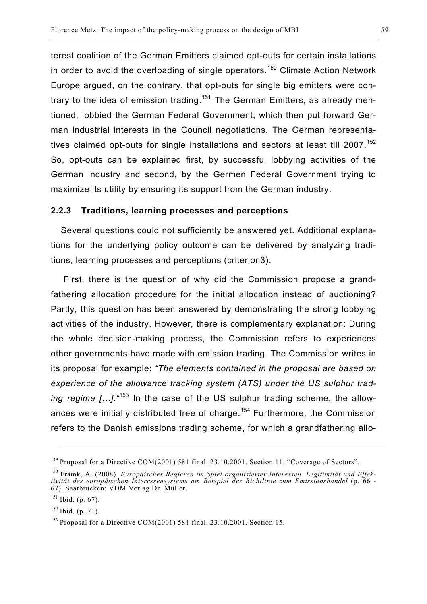terest coalition of the German Emitters claimed opt-outs for certain installations in order to avoid the overloading of single operators.<sup>150</sup> Climate Action Network Europe argued, on the contrary, that opt-outs for single big emitters were contrary to the idea of emission trading.<sup>151</sup> The German Emitters, as already mentioned, lobbied the German Federal Government, which then put forward German industrial interests in the Council negotiations. The German representatives claimed opt-outs for single installations and sectors at least till 2007.<sup>152</sup> So, opt-outs can be explained first, by successful lobbying activities of the German industry and second, by the Germen Federal Government trying to maximize its utility by ensuring its support from the German industry.

#### **2.2.3 Traditions, learning processes and perceptions**

Several questions could not sufficiently be answered yet. Additional explanations for the underlying policy outcome can be delivered by analyzing traditions, learning processes and perceptions (criterion3).

First, there is the question of why did the Commission propose a grandfathering allocation procedure for the initial allocation instead of auctioning? Partly, this question has been answered by demonstrating the strong lobbying activities of the industry. However, there is complementary explanation: During the whole decision-making process, the Commission refers to experiences other governments have made with emission trading. The Commission writes in its proposal for example: *"The elements contained in the proposal are based on experience of the allowance tracking system (ATS) under the US sulphur trading regime […].* <sup>453</sup> In the case of the US sulphur trading scheme, the allowances were initially distributed free of charge.<sup>154</sup> Furthermore, the Commission refers to the Danish emissions trading scheme, for which a grandfathering allo-

<u>.</u>

<sup>&</sup>lt;sup>149</sup> Proposal for a Directive COM(2001) 581 final. 23.10.2001. Section 11. "Coverage of Sectors".

<sup>150</sup> Främk, A. (2008). *Europäisches Regieren im Spiel organisierter Interessen. Legitimität und Effektivität des europäischen Interessensystems am Beispiel der Richtlinie zum Emissionshandel* (p. 66 - 67). Saarbrücken: VDM Verlag Dr. Müller.

 $151$  Ibid. (p. 67).

 $152$  Ibid. (p. 71).

<sup>153</sup> Proposal for a Directive COM(2001) 581 final. 23.10.2001. Section 15.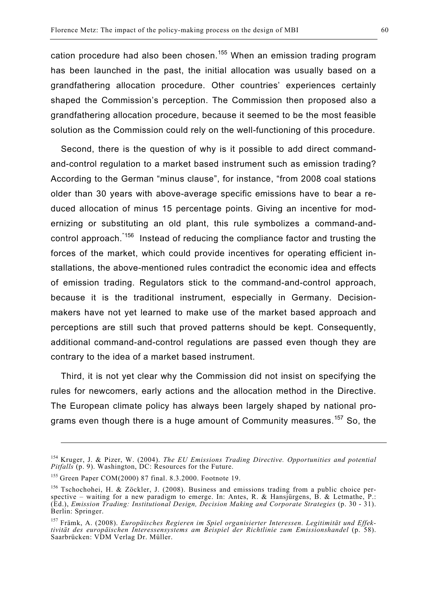cation procedure had also been chosen.<sup>155</sup> When an emission trading program has been launched in the past, the initial allocation was usually based on a grandfathering allocation procedure. Other countries' experiences certainly shaped the Commission's perception. The Commission then proposed also a grandfathering allocation procedure, because it seemed to be the most feasible solution as the Commission could rely on the well-functioning of this procedure.

Second, there is the question of why is it possible to add direct commandand-control regulation to a market based instrument such as emission trading? According to the German "minus clause", for instance, "from 2008 coal stations older than 30 years with above-average specific emissions have to bear a reduced allocation of minus 15 percentage points. Giving an incentive for modernizing or substituting an old plant, this rule symbolizes a command-andcontrol approach.<sup>"156</sup> Instead of reducing the compliance factor and trusting the forces of the market, which could provide incentives for operating efficient installations, the above-mentioned rules contradict the economic idea and effects of emission trading. Regulators stick to the command-and-control approach, because it is the traditional instrument, especially in Germany. Decisionmakers have not yet learned to make use of the market based approach and perceptions are still such that proved patterns should be kept. Consequently, additional command-and-control regulations are passed even though they are contrary to the idea of a market based instrument.

Third, it is not yet clear why the Commission did not insist on specifying the rules for newcomers, early actions and the allocation method in the Directive. The European climate policy has always been largely shaped by national programs even though there is a huge amount of Community measures.<sup>157</sup> So, the

1

<sup>154</sup> Kruger, J. & Pizer, W. (2004). *The EU Emissions Trading Directive. Opportunities and potential Pitfalls* (p. 9). Washington, DC: Resources for the Future.

<sup>155</sup> Green Paper COM(2000) 87 final. 8.3.2000. Footnote 19.

<sup>&</sup>lt;sup>156</sup> Tschochohei, H. & Zöckler, J. (2008). Business and emissions trading from a public choice perspective – waiting for a new paradigm to emerge. In: Antes, R. & Hansjürgens, B. & Letmathe, P.: (Ed.), *Emission Trading: Institutional Design, Decision Making and Corporate Strategies* (p. 30 - 31). Berlin: Springer.

<sup>157</sup> Främk, A. (2008). *Europäisches Regieren im Spiel organisierter Interessen. Legitimität und Effektivität des europäischen Interessensystems am Beispiel der Richtlinie zum Emissionshandel* (p. 58). Saarbrücken: VDM Verlag Dr. Müller.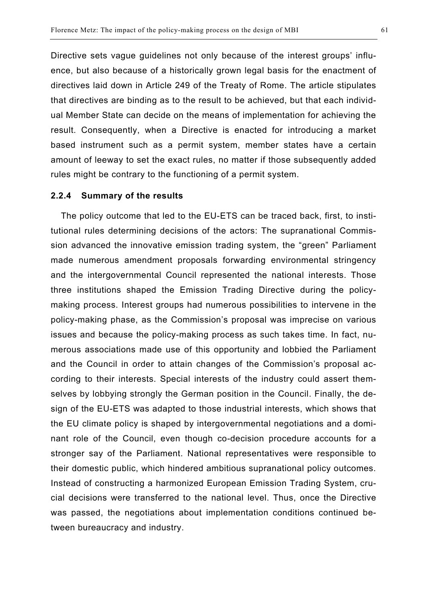Directive sets vague guidelines not only because of the interest groups' influence, but also because of a historically grown legal basis for the enactment of directives laid down in Article 249 of the Treaty of Rome. The article stipulates that directives are binding as to the result to be achieved, but that each individual Member State can decide on the means of implementation for achieving the result. Consequently, when a Directive is enacted for introducing a market based instrument such as a permit system, member states have a certain amount of leeway to set the exact rules, no matter if those subsequently added rules might be contrary to the functioning of a permit system.

#### **2.2.4 Summary of the results**

The policy outcome that led to the EU-ETS can be traced back, first, to institutional rules determining decisions of the actors: The supranational Commission advanced the innovative emission trading system, the "green" Parliament made numerous amendment proposals forwarding environmental stringency and the intergovernmental Council represented the national interests. Those three institutions shaped the Emission Trading Directive during the policymaking process. Interest groups had numerous possibilities to intervene in the policy-making phase, as the Commission's proposal was imprecise on various issues and because the policy-making process as such takes time. In fact, numerous associations made use of this opportunity and lobbied the Parliament and the Council in order to attain changes of the Commission's proposal according to their interests. Special interests of the industry could assert themselves by lobbying strongly the German position in the Council. Finally, the design of the EU-ETS was adapted to those industrial interests, which shows that the EU climate policy is shaped by intergovernmental negotiations and a dominant role of the Council, even though co-decision procedure accounts for a stronger say of the Parliament. National representatives were responsible to their domestic public, which hindered ambitious supranational policy outcomes. Instead of constructing a harmonized European Emission Trading System, crucial decisions were transferred to the national level. Thus, once the Directive was passed, the negotiations about implementation conditions continued between bureaucracy and industry.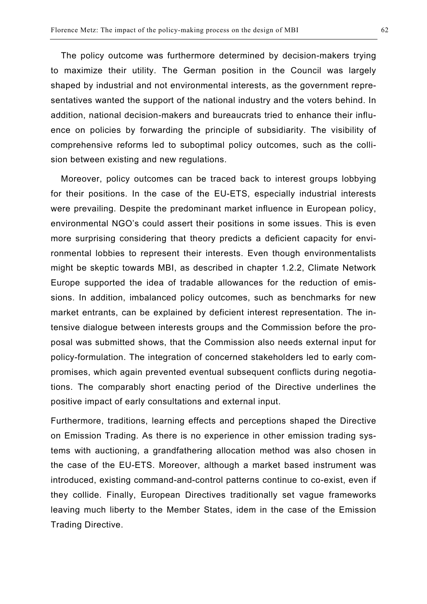The policy outcome was furthermore determined by decision-makers trying to maximize their utility. The German position in the Council was largely shaped by industrial and not environmental interests, as the government representatives wanted the support of the national industry and the voters behind. In addition, national decision-makers and bureaucrats tried to enhance their influence on policies by forwarding the principle of subsidiarity. The visibility of comprehensive reforms led to suboptimal policy outcomes, such as the collision between existing and new regulations.

Moreover, policy outcomes can be traced back to interest groups lobbying for their positions. In the case of the EU-ETS, especially industrial interests were prevailing. Despite the predominant market influence in European policy, environmental NGO's could assert their positions in some issues. This is even more surprising considering that theory predicts a deficient capacity for environmental lobbies to represent their interests. Even though environmentalists might be skeptic towards MBI, as described in chapter 1.2.2, Climate Network Europe supported the idea of tradable allowances for the reduction of emissions. In addition, imbalanced policy outcomes, such as benchmarks for new market entrants, can be explained by deficient interest representation. The intensive dialogue between interests groups and the Commission before the proposal was submitted shows, that the Commission also needs external input for policy-formulation. The integration of concerned stakeholders led to early compromises, which again prevented eventual subsequent conflicts during negotiations. The comparably short enacting period of the Directive underlines the positive impact of early consultations and external input.

Furthermore, traditions, learning effects and perceptions shaped the Directive on Emission Trading. As there is no experience in other emission trading systems with auctioning, a grandfathering allocation method was also chosen in the case of the EU-ETS. Moreover, although a market based instrument was introduced, existing command-and-control patterns continue to co-exist, even if they collide. Finally, European Directives traditionally set vague frameworks leaving much liberty to the Member States, idem in the case of the Emission Trading Directive.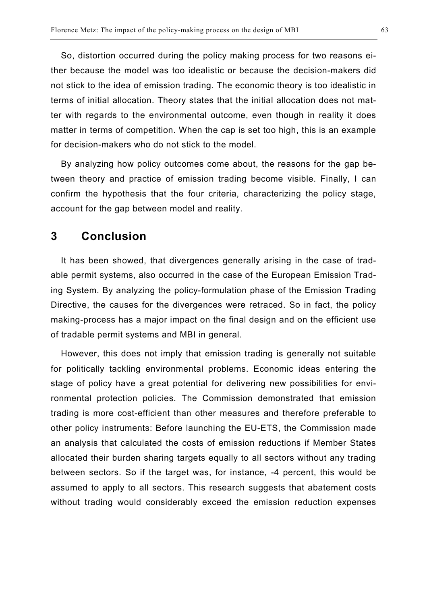So, distortion occurred during the policy making process for two reasons either because the model was too idealistic or because the decision-makers did not stick to the idea of emission trading. The economic theory is too idealistic in terms of initial allocation. Theory states that the initial allocation does not matter with regards to the environmental outcome, even though in reality it does matter in terms of competition. When the cap is set too high, this is an example for decision-makers who do not stick to the model.

By analyzing how policy outcomes come about, the reasons for the gap between theory and practice of emission trading become visible. Finally, I can confirm the hypothesis that the four criteria, characterizing the policy stage, account for the gap between model and reality.

## **3 Conclusion**

It has been showed, that divergences generally arising in the case of tradable permit systems, also occurred in the case of the European Emission Trading System. By analyzing the policy-formulation phase of the Emission Trading Directive, the causes for the divergences were retraced. So in fact, the policy making-process has a major impact on the final design and on the efficient use of tradable permit systems and MBI in general.

However, this does not imply that emission trading is generally not suitable for politically tackling environmental problems. Economic ideas entering the stage of policy have a great potential for delivering new possibilities for environmental protection policies. The Commission demonstrated that emission trading is more cost-efficient than other measures and therefore preferable to other policy instruments: Before launching the EU-ETS, the Commission made an analysis that calculated the costs of emission reductions if Member States allocated their burden sharing targets equally to all sectors without any trading between sectors. So if the target was, for instance, -4 percent, this would be assumed to apply to all sectors. This research suggests that abatement costs without trading would considerably exceed the emission reduction expenses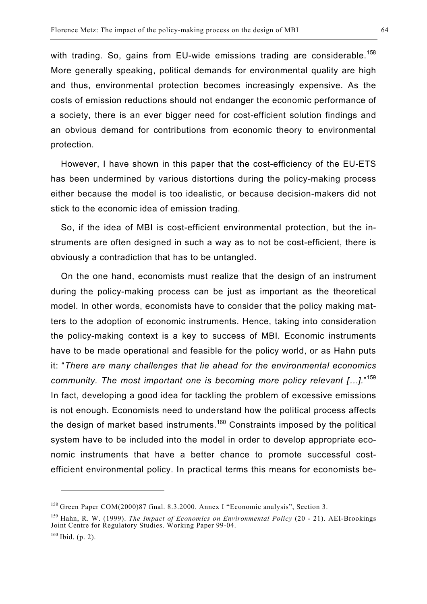with trading. So, gains from EU-wide emissions trading are considerable.<sup>158</sup> More generally speaking, political demands for environmental quality are high and thus, environmental protection becomes increasingly expensive. As the costs of emission reductions should not endanger the economic performance of a society, there is an ever bigger need for cost-efficient solution findings and an obvious demand for contributions from economic theory to environmental protection.

However, I have shown in this paper that the cost-efficiency of the EU-ETS has been undermined by various distortions during the policy-making process either because the model is too idealistic, or because decision-makers did not stick to the economic idea of emission trading.

So, if the idea of MBI is cost-efficient environmental protection, but the instruments are often designed in such a way as to not be cost-efficient, there is obviously a contradiction that has to be untangled.

On the one hand, economists must realize that the design of an instrument during the policy-making process can be just as important as the theoretical model. In other words, economists have to consider that the policy making matters to the adoption of economic instruments. Hence, taking into consideration the policy-making context is a key to success of MBI. Economic instruments have to be made operational and feasible for the policy world, or as Hahn puts it: "*There are many challenges that lie ahead for the environmental economics community. The most important one is becoming more policy relevant […].*" 159 In fact, developing a good idea for tackling the problem of excessive emissions is not enough. Economists need to understand how the political process affects the design of market based instruments.<sup>160</sup> Constraints imposed by the political system have to be included into the model in order to develop appropriate economic instruments that have a better chance to promote successful costefficient environmental policy. In practical terms this means for economists be-

<sup>158</sup> Green Paper COM(2000)87 final. 8.3.2000. Annex I "Economic analysis", Section 3.

<sup>159</sup> Hahn, R. W. (1999). *The Impact of Economics on Environmental Policy* (20 - 21). AEI-Brookings Joint Centre for Regulatory Studies. Working Paper 99-04.

 $160$  Ibid. (p. 2).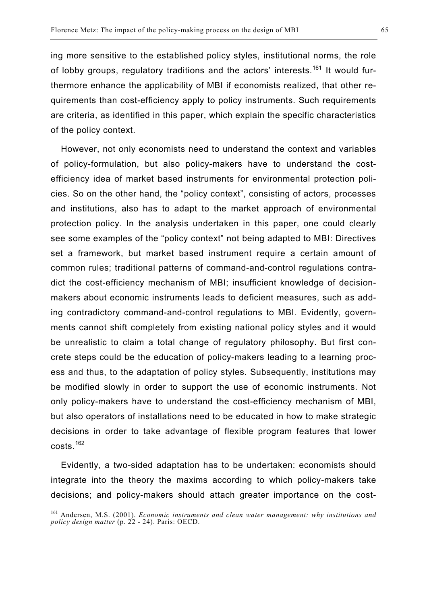ing more sensitive to the established policy styles, institutional norms, the role of lobby groups, regulatory traditions and the actors' interests.<sup>161</sup> It would furthermore enhance the applicability of MBI if economists realized, that other requirements than cost-efficiency apply to policy instruments. Such requirements are criteria, as identified in this paper, which explain the specific characteristics of the policy context.

However, not only economists need to understand the context and variables of policy-formulation, but also policy-makers have to understand the costefficiency idea of market based instruments for environmental protection policies. So on the other hand, the "policy context", consisting of actors, processes and institutions, also has to adapt to the market approach of environmental protection policy. In the analysis undertaken in this paper, one could clearly see some examples of the "policy context" not being adapted to MBI: Directives set a framework, but market based instrument require a certain amount of common rules; traditional patterns of command-and-control regulations contradict the cost-efficiency mechanism of MBI; insufficient knowledge of decisionmakers about economic instruments leads to deficient measures, such as adding contradictory command-and-control regulations to MBI. Evidently, governments cannot shift completely from existing national policy styles and it would be unrealistic to claim a total change of regulatory philosophy. But first concrete steps could be the education of policy-makers leading to a learning process and thus, to the adaptation of policy styles. Subsequently, institutions may be modified slowly in order to support the use of economic instruments. Not only policy-makers have to understand the cost-efficiency mechanism of MBI, but also operators of installations need to be educated in how to make strategic decisions in order to take advantage of flexible program features that lower costs.<sup>162</sup>

Evidently, a two-sided adaptation has to be undertaken: economists should integrate into the theory the maxims according to which policy-makers take decisions; and policy-makers should attach greater importance on the cost-

<sup>161</sup> Andersen, M.S. (2001). *Economic instruments and clean water management: why institutions and policy design matter* (p. 22 - 24). Paris: OECD.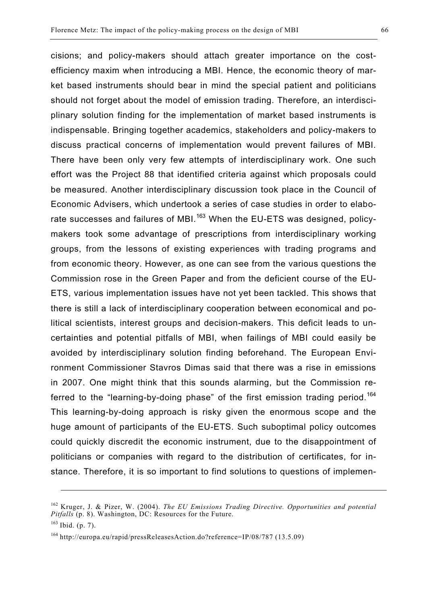cisions; and policy-makers should attach greater importance on the costefficiency maxim when introducing a MBI. Hence, the economic theory of market based instruments should bear in mind the special patient and politicians should not forget about the model of emission trading. Therefore, an interdisciplinary solution finding for the implementation of market based instruments is indispensable. Bringing together academics, stakeholders and policy-makers to discuss practical concerns of implementation would prevent failures of MBI. There have been only very few attempts of interdisciplinary work. One such effort was the Project 88 that identified criteria against which proposals could be measured. Another interdisciplinary discussion took place in the Council of Economic Advisers, which undertook a series of case studies in order to elaborate successes and failures of MBI.<sup>163</sup> When the EU-ETS was designed, policymakers took some advantage of prescriptions from interdisciplinary working groups, from the lessons of existing experiences with trading programs and from economic theory. However, as one can see from the various questions the Commission rose in the Green Paper and from the deficient course of the EU-ETS, various implementation issues have not yet been tackled. This shows that there is still a lack of interdisciplinary cooperation between economical and political scientists, interest groups and decision-makers. This deficit leads to uncertainties and potential pitfalls of MBI, when failings of MBI could easily be avoided by interdisciplinary solution finding beforehand. The European Environment Commissioner Stavros Dimas said that there was a rise in emissions in 2007. One might think that this sounds alarming, but the Commission referred to the "learning-by-doing phase" of the first emission trading period.<sup>164</sup> This learning-by-doing approach is risky given the enormous scope and the huge amount of participants of the EU-ETS. Such suboptimal policy outcomes could quickly discredit the economic instrument, due to the disappointment of politicians or companies with regard to the distribution of certificates, for instance. Therefore, it is so important to find solutions to questions of implemen-

1

<sup>162</sup> Kruger, J. & Pizer, W. (2004). *The EU Emissions Trading Directive. Opportunities and potential Pitfalls* (p. 8). Washington, DC: Resources for the Future.

 $163$  Ibid. (p. 7).

<sup>164</sup> http://europa.eu/rapid/pressReleasesAction.do?reference=IP/08/787 (13.5.09)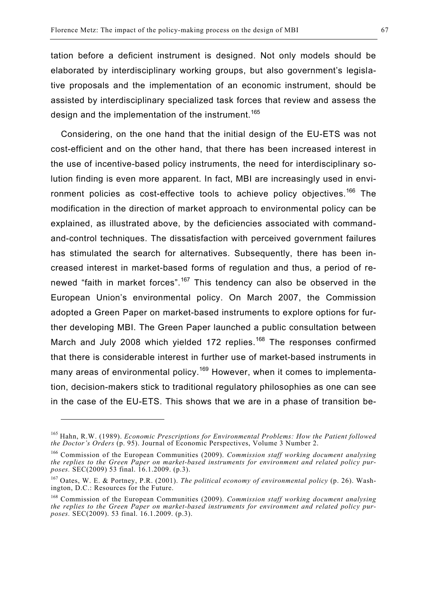tation before a deficient instrument is designed. Not only models should be elaborated by interdisciplinary working groups, but also government's legislative proposals and the implementation of an economic instrument, should be assisted by interdisciplinary specialized task forces that review and assess the design and the implementation of the instrument.<sup>165</sup>

Considering, on the one hand that the initial design of the EU-ETS was not cost-efficient and on the other hand, that there has been increased interest in the use of incentive-based policy instruments, the need for interdisciplinary solution finding is even more apparent. In fact, MBI are increasingly used in environment policies as cost-effective tools to achieve policy objectives.<sup>166</sup> The modification in the direction of market approach to environmental policy can be explained, as illustrated above, by the deficiencies associated with commandand-control techniques. The dissatisfaction with perceived government failures has stimulated the search for alternatives. Subsequently, there has been increased interest in market-based forms of regulation and thus, a period of renewed "faith in market forces".<sup>167</sup> This tendency can also be observed in the European Union's environmental policy. On March 2007, the Commission adopted a Green Paper on market-based instruments to explore options for further developing MBI. The Green Paper launched a public consultation between March and July 2008 which yielded 172 replies.<sup>168</sup> The responses confirmed that there is considerable interest in further use of market-based instruments in many areas of environmental policy.<sup>169</sup> However, when it comes to implementation, decision-makers stick to traditional regulatory philosophies as one can see in the case of the EU-ETS. This shows that we are in a phase of transition be-

<sup>165</sup> Hahn, R.W. (1989). *Economic Prescriptions for Environmental Problems: How the Patient followed the Doctor's Orders* (p. 95). Journal of Economic Perspectives, Volume 3 Number 2.

<sup>166</sup> Commission of the European Communities (2009). *Commission staff working document analysing the replies to the Green Paper on market-based instruments for environment and related policy purposes.* SEC(2009) 53 final. 16.1.2009. (p.3).

<sup>167</sup> Oates, W. E. & Portney, P.R. (2001). *The political economy of environmental policy* (p. 26). Washington, D.C.: Resources for the Future.

<sup>168</sup> Commission of the European Communities (2009). *Commission staff working document analysing the replies to the Green Paper on market-based instruments for environment and related policy purposes.* SEC(2009). 53 final. 16.1.2009. (p.3).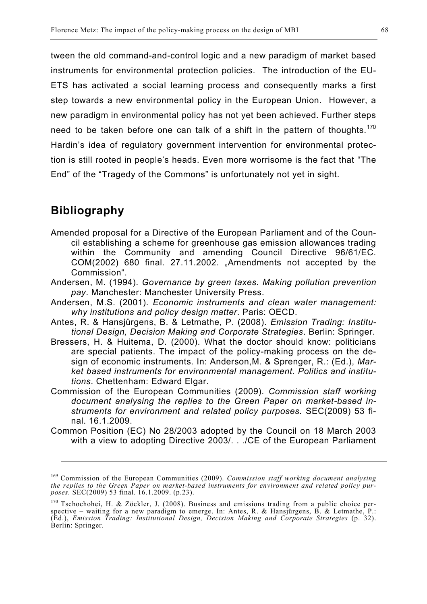tween the old command-and-control logic and a new paradigm of market based instruments for environmental protection policies. The introduction of the EU-ETS has activated a social learning process and consequently marks a first step towards a new environmental policy in the European Union. However, a new paradigm in environmental policy has not yet been achieved. Further steps need to be taken before one can talk of a shift in the pattern of thoughts.<sup>170</sup> Hardin's idea of regulatory government intervention for environmental protection is still rooted in people's heads. Even more worrisome is the fact that "The End" of the "Tragedy of the Commons" is unfortunately not yet in sight.

## **Bibliography**

1

- Amended proposal for a Directive of the European Parliament and of the Council establishing a scheme for greenhouse gas emission allowances trading within the Community and amending Council Directive 96/61/EC. COM(2002) 680 final. 27.11.2002. "Amendments not accepted by the Commission".
- Andersen, M. (1994). *Governance by green taxes. Making pollution prevention pay*. Manchester: Manchester University Press.
- Andersen, M.S. (2001). *Economic instruments and clean water management: why institutions and policy design matter*. Paris: OECD.
- Antes, R. & Hansjürgens, B. & Letmathe, P. (2008). *Emission Trading: Institutional Design, Decision Making and Corporate Strategies*. Berlin: Springer.
- Bressers, H. & Huitema, D. (2000). What the doctor should know: politicians are special patients. The impact of the policy-making process on the design of economic instruments. In: Anderson,M. & Sprenger, R.: (Ed.), *Market based instruments for environmental management. Politics and institutions*. Chettenham: Edward Elgar.
- Commission of the European Communities (2009). *Commission staff working document analysing the replies to the Green Paper on market-based instruments for environment and related policy purposes.* SEC(2009) 53 final. 16.1.2009.
- Common Position (EC) No 28/2003 adopted by the Council on 18 March 2003 with a view to adopting Directive 2003/. . ./CE of the European Parliament

<sup>169</sup> Commission of the European Communities (2009). *Commission staff working document analysing the replies to the Green Paper on market-based instruments for environment and related policy purposes.* SEC(2009) 53 final. 16.1.2009. (p.23).

<sup>&</sup>lt;sup>170</sup> Tschochohei, H. & Zöckler, J. (2008). Business and emissions trading from a public choice perspective – waiting for a new paradigm to emerge. In: Antes, R. & Hansjürgens, B. & Letmathe, P.: (Ed.), *Emission Trading: Institutional Design, Decision Making and Corporate Strategies* (p. 32). Berlin: Springer.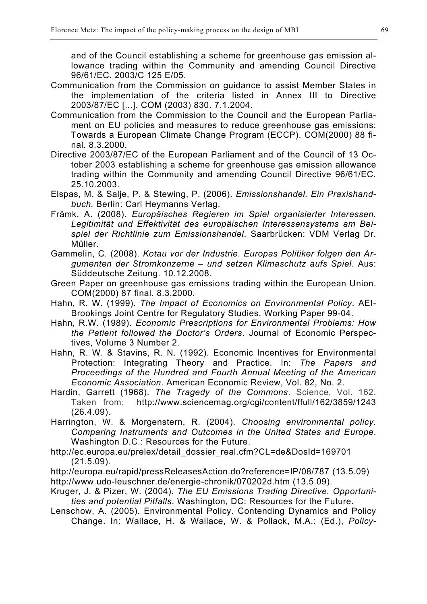and of the Council establishing a scheme for greenhouse gas emission allowance trading within the Community and amending Council Directive 96/61/EC. 2003/C 125 E/05.

- Communication from the Commission on guidance to assist Member States in the implementation of the criteria listed in Annex III to Directive 2003/87/EC [...]. COM (2003) 830. 7.1.2004.
- Communication from the Commission to the Council and the European Parliament on EU policies and measures to reduce greenhouse gas emissions: Towards a European Climate Change Program (ECCP). COM(2000) 88 final. 8.3.2000.
- Directive 2003/87/EC of the European Parliament and of the Council of 13 October 2003 establishing a scheme for greenhouse gas emission allowance trading within the Community and amending Council Directive 96/61/EC. 25.10.2003.
- Elspas, M. & Salje, P. & Stewing, P. (2006). *Emissionshandel. Ein Praxishandbuch.* Berlin: Carl Heymanns Verlag.
- Främk, A. (2008). *Europäisches Regieren im Spiel organisierter Interessen. Legitimität und Effektivität des europäischen Interessensystems am Beispiel der Richtlinie zum Emissionshandel*. Saarbrücken: VDM Verlag Dr. Müller.
- Gammelin, C. (2008). *Kotau vor der Industrie. Europas Politiker folgen den Argumenten der Stromkonzerne – und setzen Klimaschutz aufs Spiel*. Aus: Süddeutsche Zeitung. 10.12.2008.
- Green Paper on greenhouse gas emissions trading within the European Union. COM(2000) 87 final. 8.3.2000.
- Hahn, R. W. (1999). *The Impact of Economics on Environmental Policy*. AEI-Brookings Joint Centre for Regulatory Studies. Working Paper 99-04.
- Hahn, R.W. (1989). *Economic Prescriptions for Environmental Problems: How the Patient followed the Doctor's Orders*. Journal of Economic Perspectives, Volume 3 Number 2.
- Hahn, R. W. & Stavins, R. N. (1992). Economic Incentives for Environmental Protection: Integrating Theory and Practice. In: *The Papers and Proceedings of the Hundred and Fourth Annual Meeting of the American Economic Association*. American Economic Review, Vol. 82, No. 2.
- Hardin, Garrett (1968). *The Tragedy of the Commons*. Science, Vol. 162. Taken from: http://www.sciencemag.org/cgi/content/ffull/162/3859/1243 (26.4.09).
- Harrington, W. & Morgenstern, R. (2004). *Choosing environmental policy. Comparing Instruments and Outcomes in the United States and Europe*. Washington D.C.: Resources for the Future.
- http://ec.europa.eu/prelex/detail\_dossier\_real.cfm?CL=de&DosId=169701 (21.5.09).
- http://europa.eu/rapid/pressReleasesAction.do?reference=IP/08/787 (13.5.09) http://www.udo-leuschner.de/energie-chronik/070202d.htm (13.5.09).
- Kruger, J. & Pizer, W. (2004). *The EU Emissions Trading Directive. Opportunities and potential Pitfalls*. Washington, DC: Resources for the Future.
- Lenschow, A. (2005). Environmental Policy. Contending Dynamics and Policy Change. In: Wallace, H. & Wallace, W. & Pollack, M.A.: (Ed.), *Policy-*